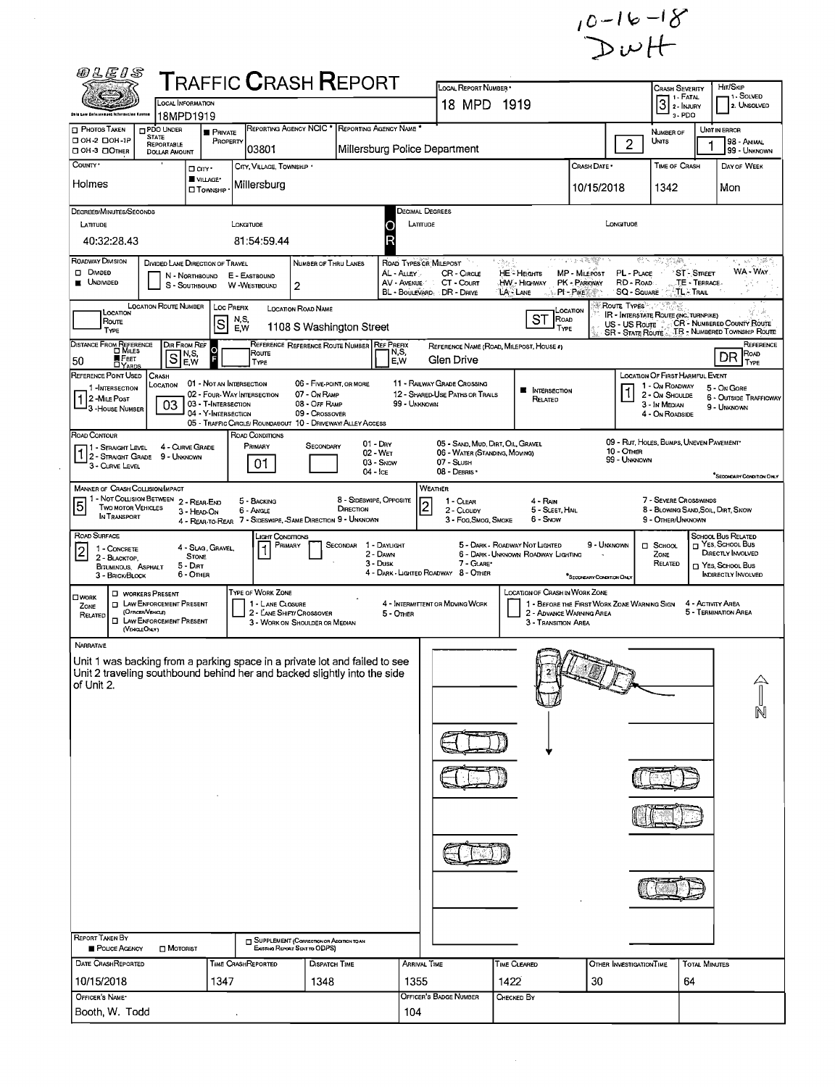

| 02E1S                                                                                                                                                                |                                                                      |                                                                    | <b>TRAFFIC CRASH REPORT</b>                                                                                    |                                                            |                                                            |                                                                                                 |                                                                                   |                                             |                                                                        | <b>CRASH SEVERITY</b>                     |                                                                                                                    |  |  |  |
|----------------------------------------------------------------------------------------------------------------------------------------------------------------------|----------------------------------------------------------------------|--------------------------------------------------------------------|----------------------------------------------------------------------------------------------------------------|------------------------------------------------------------|------------------------------------------------------------|-------------------------------------------------------------------------------------------------|-----------------------------------------------------------------------------------|---------------------------------------------|------------------------------------------------------------------------|-------------------------------------------|--------------------------------------------------------------------------------------------------------------------|--|--|--|
|                                                                                                                                                                      | LOCAL INFORMATION                                                    |                                                                    |                                                                                                                |                                                            |                                                            | LOCAL REPORT NUMBER .<br>18 MPD 1919                                                            | HIT/SKIP<br>1- SOLVED<br>2. Unsolved                                              |                                             |                                                                        |                                           |                                                                                                                    |  |  |  |
| hin Law Enforcement Information Groten<br><b>PHOTOS TAKEN</b><br>PDO UNDER                                                                                           | 18MPD1919<br><b>PRIVATE</b>                                          | REPORTING AGENCY NCIC <sup>*</sup>                                 |                                                                                                                | REPORTING AGENCY NAME                                      |                                                            |                                                                                                 |                                                                                   |                                             | NUMBER OF                                                              | 3-PDO                                     | UNIT IN ERROR                                                                                                      |  |  |  |
| <b>STATE</b><br>$\Box$ OH-2 $\Box$ OH-1P<br>REPORTABLE<br>□ ОН 3 □ Отнев<br><b>DOLLAR AMOUNT</b>                                                                     | PROPERTY                                                             | 03801                                                              |                                                                                                                |                                                            |                                                            | Millersburg Police Department                                                                   |                                                                                   |                                             | Units<br>$\overline{2}$                                                |                                           | 98 - ANIMAL<br>99 - UNKNOWN                                                                                        |  |  |  |
| COUNTY *                                                                                                                                                             | □ cm·                                                                | CITY, VILLAGE, TOWNSHIP .                                          |                                                                                                                |                                                            |                                                            |                                                                                                 |                                                                                   | CRASH DATE *                                | TIME OF CRASH                                                          |                                           | DAY OF WEEK                                                                                                        |  |  |  |
| Holmes                                                                                                                                                               | <b>VILLAGE*</b><br><b>D</b> TOWNSHIP                                 | Millersburg                                                        |                                                                                                                |                                                            |                                                            | 10/15/2018<br>1342<br>Mon                                                                       |                                                                                   |                                             |                                                                        |                                           |                                                                                                                    |  |  |  |
| Degrees/Minutes/Seconds                                                                                                                                              |                                                                      |                                                                    |                                                                                                                |                                                            | Decimal Degrees                                            |                                                                                                 |                                                                                   |                                             |                                                                        |                                           |                                                                                                                    |  |  |  |
| LATITUDE                                                                                                                                                             |                                                                      | LONGITUDE                                                          |                                                                                                                |                                                            | LATITUDE                                                   |                                                                                                 |                                                                                   | LONGITUDE                                   |                                                                        |                                           |                                                                                                                    |  |  |  |
| 40:32:28.43                                                                                                                                                          |                                                                      | 81:54:59.44                                                        |                                                                                                                | R                                                          |                                                            |                                                                                                 |                                                                                   |                                             |                                                                        |                                           |                                                                                                                    |  |  |  |
| Roadway Division<br>D DIVIDED<br><b>UNDIVIDED</b>                                                                                                                    | DIVIDED LANE DIRECTION OF TRAVEL<br>N - NORTHBOUND<br>S - SOUTHBOUND | E - EASTBOUND<br>W-WESTBOUND                                       | NUMBER OF THRU LANES<br>$\overline{2}$                                                                         |                                                            | <b>ROAD TYPES OR MILEPOST</b><br>AL - Alley<br>AV - AVENUE | CR - CIRCLE<br>CT - COURT<br>BL - BOULEVARD DR - DRIVE                                          | 234<br><b>HE</b> - Heights<br>HW - Highway<br>LA LANE<br><b>A.S. PI-PIKE</b>      | a na matuk<br>MP - MiLEPOST<br>PK - PARKWAY | 医下水震颤<br>PL - PLACE<br>RD - ROAD<br>SQ - SOUARE                        | 'ST-Street<br>TE - TERRACE-<br>:TL- Trail | 1520.<br>$\mathbf{x}^{\mathcal{A}_0}_t$<br>WA - WAY                                                                |  |  |  |
| LOCATION ROUTE NUMBER<br>LOCATION                                                                                                                                    |                                                                      | <b>LOC PREFIX</b><br>N,S,                                          | <b>LOCATION ROAD NAME</b>                                                                                      |                                                            |                                                            |                                                                                                 | ST<br>ROAD                                                                        | <b>ROUTE TYPES</b><br>LOCATION              | <b>IR - INTERSTATE ROUTE (INC. TURNPIKE)</b>                           |                                           |                                                                                                                    |  |  |  |
| Route<br><b>TYPE</b>                                                                                                                                                 | S                                                                    | <b>EW</b>                                                          | 1108 S Washington Street                                                                                       |                                                            |                                                            |                                                                                                 | TYPE                                                                              |                                             | US - US Route<br><b>SR - State Route</b>                               |                                           | <b>CR - NUMBERED COUNTY ROUTE</b><br>TR - NUMBERED TOWNSHIP ROUTE                                                  |  |  |  |
| Distance From Reference<br>D Miles<br>S<br>FEET<br>50                                                                                                                | DIR FROM REF<br>o<br> N,S,<br> E,W                                   | Route<br>TYPE                                                      | REFERENCE REFERENCE ROUTE NUMBER                                                                               | <b>REF PREFIX</b>                                          | N,S,<br>E,W                                                | Glen Drive                                                                                      | REFERENCE NAME (ROAD, MILEPOST, HOUSE 4)                                          |                                             |                                                                        |                                           | REFERENCE<br>Road<br>DR<br>TYPE                                                                                    |  |  |  |
| REFERENCE POINT USED<br>Crash<br>LOCATION<br>1-INTERSECTION                                                                                                          | 01 - NOT AN INTERSECTION                                             |                                                                    | 06 - FIVE-POINT, OR MORE                                                                                       |                                                            |                                                            | 11 - RAILWAY GRADE CROSSING                                                                     |                                                                                   |                                             | <b>LOCATION OF FIRST HARMFUL EVENT</b><br>1 - On ROADWAY               |                                           | 5 - On Gore                                                                                                        |  |  |  |
| $12$ -Mile Post<br>03<br><sup>1</sup> 3 - House Number                                                                                                               | 03 - T-INTERSECTION<br>04 - Y-INTERSECTION                           | 02 - FOUR-WAY INTERSECTION                                         | 07 - On RAMP<br>08 - OFF RAMP<br>09 - Crossover<br>05 - TRAFFIC CIRCLE/ ROUNDABOUT 10 - DRIVEWAY/ ALLEY ACCESS |                                                            | 99 - UNKNOWN                                               | 12 - SHARED-USE PATHS OR TRAILS                                                                 | <b>NE</b> INTERSECTION<br>Related                                                 |                                             | 2 - ON SHOULDE<br>3 - In Median<br>4 - On ROADSIDE                     |                                           | <b>6 - OUTSIDE TRAFFICWAY</b><br>9 - UNKNOWN                                                                       |  |  |  |
| ROAD CONTOUR<br>1 - Straight Level 4 - Curve Gr<br>1 2 - Straight Grade 9 - Unknown<br>3 - CURVE LEVEL                                                               | 4 - CURVE GRADE                                                      | ROAD CONDITIONS<br>PRIMARY<br>01                                   | SECONDARY                                                                                                      | $01 - \text{Drv}$<br>02 - Wet<br>$03 -$ SNOW<br>$04 -$ Ice |                                                            | 05 - SAND, MUD, DIRT, OIL, GRAVEL<br>06 - WATER (STANDING, MOVING)<br>07 - SLUSH<br>08 - DEBRIS |                                                                                   |                                             | 09 - RUT, HOLES, BUMPS, UNEVEN PAVEMENT*<br>10 - OTHER<br>99 - UNKNOWN |                                           | "Second MY Condition Only                                                                                          |  |  |  |
| <b>MANNER OF CRASH COLLISION/IMPACT</b>                                                                                                                              |                                                                      |                                                                    |                                                                                                                |                                                            |                                                            | <b>WEATHER</b>                                                                                  |                                                                                   |                                             |                                                                        |                                           |                                                                                                                    |  |  |  |
| 1 - NOT COLLISION BETWEEN<br>$\overline{5}$<br><b>TWO MOTOR VEHICLES</b><br>IN TRANSPORT                                                                             | 2 - REAR-END<br>3 - HEAD-ON                                          | 5 - BACKING<br>6 - Angle                                           | DIRECTION<br>4 - REAR-TO-REAR 7 - SIDESWIPE, -SAME DIRECTION 9 - UNKNOWN                                       | 8 - SIDESWIPE, OPPOSITE                                    | $\vert$ 2                                                  | 1 - CLEAR<br>2 - CLOUDY<br>3 - Fog Smog, Smoke                                                  | 4 - RAN<br>5 - SLEET HAL<br>6 - Snow                                              |                                             | 9 - OTHER/UNKNOWN                                                      | 7 - SEVERE CROSSWINDS                     | 8 - BLOWING SAND, SOIL, DIRT, SNOW                                                                                 |  |  |  |
| ROAD SURFACE<br>1 - CONCRETE<br>2<br>2 - BLACKTOP,<br>BITUMINOUS, ASPHALT<br>3 - BRICK/BLOCK                                                                         | 4 - Slag, Gravel.<br><b>STONE</b><br>$5 - DIRT$<br>6 - Other         | _існт Сомоптомз<br>PRIMARY                                         | SECONDAR                                                                                                       | 1 - Daylight<br>2 - DAWN<br>3 - Dusk                       |                                                            | 7 - GLARE*<br>4 - DARK - LIGHTED ROADWAY 8 - OTHER                                              | 5 - DARK - ROADWAY NOT LIGHTED<br>6 - DARK - UNKNOWN ROADWAY LIGHTING             | 9 - UNKNOWN<br>*SECONDARY CONDITION ONLY    | $\Box$ School<br>ZONE<br>RELATED                                       |                                           | SCHOOL BUS RELATED<br>$\Box$ Yes, School Bus<br>DIRECTLY INVOLVED<br>NES, SCHOOL BUS<br><b>INDIRECTLY INVOLVED</b> |  |  |  |
| <b>D</b> WORKERS PRESENT<br><b>OWORK</b><br><b>IN LAW ENFORCEMENT PRESENT</b><br>ZONE<br>(OFFICER VEHICLE)<br>RELATED<br>LAW ENFORCEMENT PRESENT<br>(VEIGLEOMY)      |                                                                      | TYPE OF WORK ZONE<br>1 - LANE CLOSURE<br>2 - LANE SHIFT/ CROSSOVER | 3 - WORK ON SHOULDER OR MEDIAN                                                                                 |                                                            | 5 - OTHER                                                  | 4 - INTERMITTENT OR MOVING WORK                                                                 | LOCATION OF CRASH IN WORK ZONE<br>2 - ADVANCE WARNING AREA<br>3 - TRANSITION AREA | 1 - BEFORE THE FIRST WORK ZONE WARNING SIGN |                                                                        | 4 - ACTIVITY AREA                         | 5 - TERMINATION AREA                                                                                               |  |  |  |
| NARRATIVE                                                                                                                                                            |                                                                      |                                                                    |                                                                                                                |                                                            |                                                            |                                                                                                 |                                                                                   |                                             |                                                                        |                                           |                                                                                                                    |  |  |  |
| Unit 1 was backing from a parking space in a private lot and failed to see<br>Unit 2 traveling southbound behind her and backed slightly into the side<br>of Unit 2. |                                                                      |                                                                    |                                                                                                                |                                                            |                                                            |                                                                                                 |                                                                                   |                                             |                                                                        |                                           |                                                                                                                    |  |  |  |
|                                                                                                                                                                      |                                                                      |                                                                    |                                                                                                                |                                                            |                                                            |                                                                                                 |                                                                                   |                                             |                                                                        |                                           |                                                                                                                    |  |  |  |
|                                                                                                                                                                      |                                                                      |                                                                    |                                                                                                                |                                                            |                                                            |                                                                                                 |                                                                                   |                                             |                                                                        |                                           |                                                                                                                    |  |  |  |
|                                                                                                                                                                      |                                                                      |                                                                    |                                                                                                                |                                                            |                                                            |                                                                                                 |                                                                                   |                                             |                                                                        |                                           |                                                                                                                    |  |  |  |
|                                                                                                                                                                      |                                                                      |                                                                    |                                                                                                                |                                                            |                                                            |                                                                                                 |                                                                                   |                                             |                                                                        |                                           |                                                                                                                    |  |  |  |
|                                                                                                                                                                      |                                                                      |                                                                    |                                                                                                                |                                                            |                                                            |                                                                                                 |                                                                                   |                                             |                                                                        |                                           |                                                                                                                    |  |  |  |
|                                                                                                                                                                      |                                                                      |                                                                    |                                                                                                                |                                                            |                                                            |                                                                                                 |                                                                                   |                                             |                                                                        |                                           |                                                                                                                    |  |  |  |
|                                                                                                                                                                      |                                                                      |                                                                    |                                                                                                                |                                                            |                                                            |                                                                                                 |                                                                                   |                                             |                                                                        |                                           |                                                                                                                    |  |  |  |
| REPORT TAKEN BY<br>POLICE AGENCY<br>$\Box$ Motorist                                                                                                                  |                                                                      |                                                                    | SUPPLEMENT (CORRECTION OR ADDITION TO AN<br>Existiva Report Sent to ODPS)                                      |                                                            |                                                            |                                                                                                 |                                                                                   |                                             |                                                                        |                                           |                                                                                                                    |  |  |  |
| DATE CRASHREPORTED                                                                                                                                                   |                                                                      | TIME CRASHREPORTED                                                 | DISPATCH TIME                                                                                                  |                                                            | ARRIVAL TIME                                               |                                                                                                 | TIME CLEARED                                                                      |                                             | OTHER INVESTIGATION TIME                                               | <b>TOTAL MINUTES</b>                      |                                                                                                                    |  |  |  |
| 10/15/2018                                                                                                                                                           | 1347                                                                 |                                                                    | 1348                                                                                                           |                                                            | 1355                                                       |                                                                                                 | 1422                                                                              | 30                                          |                                                                        | 64                                        |                                                                                                                    |  |  |  |
| OFFICER'S NAME*<br>Booth, W. Todd                                                                                                                                    |                                                                      |                                                                    |                                                                                                                |                                                            | 104                                                        | Officer's Badge Number                                                                          | CHECKED BY                                                                        |                                             |                                                                        |                                           |                                                                                                                    |  |  |  |
|                                                                                                                                                                      |                                                                      |                                                                    |                                                                                                                |                                                            |                                                            |                                                                                                 |                                                                                   |                                             |                                                                        |                                           |                                                                                                                    |  |  |  |

 $\bar{\gamma}$ 

 $\overline{\phantom{a}}$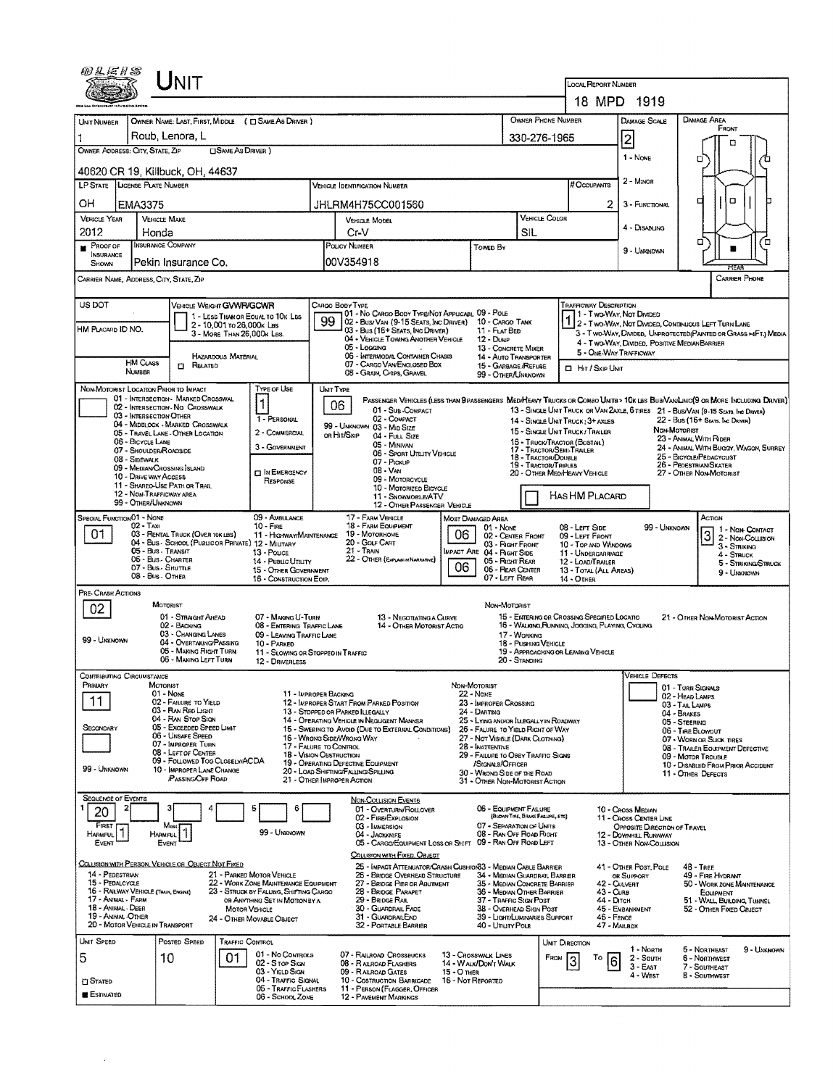| 18 MPD 1919<br>OWNER PHONE NUMBER<br><b>DAMAGE AREA</b><br>OWNER NAME: LAST, FIRST, MIDDLE ( C SAME AS DRIVER )<br><b>DAMAGE SCALE</b><br>UNIT NUMBER<br>FRONT<br>Roub, Lenora, L<br>2<br>330-276-1965<br>о<br>OWNER ADDRESS: CITY, STATE, ZIP<br>□ SAME AS DRIVER 1<br>1 - NONE<br>٥<br>40620 CR 19, Killbuck, OH, 44637<br>2 - MINOR<br>LP STATE LICENSE PLATE NUMBER<br># Occupants<br><b>VEHICLE IDENTIFICATION NUMBER</b><br>□<br>о<br>OH<br>JHLRM4H75CC001560<br>2<br><b>EMA3375</b><br>3 - FUNCTIONAL<br>VEHICLE COLOR<br><b>VEHICLE YEAR</b><br><b>VEHICLE MAKE</b><br>VEHICLE MODEL<br>4 - DISABLING<br>2012<br>CrV<br>SIL<br>Honda<br>O<br>о<br>INSURANCE COMPANY<br>PROOF OF<br>POUCY NUMBER<br>Towen By<br>9 - UNKNOWN<br><b>INSURANCE</b><br>00V354918<br>Pekin Insurance Co.<br>SHOWN<br>HEA<br><b>CARRIER PHONE</b><br>CARRIER NAME, ADDRESS, CITY, STATE, ZIP<br>US DOT<br><b>TRAFFICWAY DESCRIPTION</b><br><b>VEHICLE WEIGHT GVWR/GCWR</b><br>CARGO BODY TYPE<br>01 - No CARGO BODY TYPE/NOT APPLICABL 09 - POLE<br>1 - Two-Way, Not Divided<br>1 - LESS THAN OR EQUAL TO 10K LBS<br>02 - BUSI VAN (9-15 SEATS, INC DRIVER) 10 - CARGO TANK<br>1 2 - Two-Way, Not Divided, Continuous Left Turn Lane<br>2 - 10,001 to 26,000x Las<br>HM PLACARD ID NO.<br>03 - Bus (16+ Seats, Inc DRIVER)<br>11 - FLAT BED<br>3 - T WO-WAY, DIVIDEO, UNPROTECTED (PAINTED OR GRASS >4FT.) MEDIA<br>3 - MORE THAN 26.000K LBS.<br>04 - VEHICLE TOWING ANOTHER VEHICLE<br>$12 - Dune$<br>4 - Two-Way, Divideo, Positive Median Barrier<br>05 - Logging<br>13 - CONCRETE MIXER<br>5 - ONE-WAY TRAFFICWAY<br>06 - INTERMODAL CONTAINER CHASIS<br><b>HAZARDOUS MATERIAL</b><br>14 - AUTO TRANSPORTER<br><b>HM Cuss</b><br>07 - CARGO VAN/ENGLOSED BOX<br><b>CI RELATED</b><br>15 - GARBAGE /REFUSE<br><b>D</b> Hit / Skip UNIT<br>NUMBER<br>08 - Grain, Chips, Gravel<br>99 - OTHER/UNKNOWN<br>NON-MOTORIST LOCATION PRIOR TO IMPACT<br>TYPE OF USE<br>UNIT TYPE<br>01 - INTERSECTION - MARKED CROSSWAL<br>PASSENGER VEHICLES (LESS THAN PPASSENGERS MEDIMEANY TRUCKS OR COMBO UNITS > 10K LBS BUB/VANLIMO(9 OR MORE INCLUDING DRIVER)<br>1<br>06<br>02 - INTERSECTION NO CROSSWALK<br>01 - Sur COMPACT<br>13 - SINGLE UNIT TRUCK OR VAN 2AXLE, 6 TIRES 21 - BUS/VAN (9-15 SEATS, Inc DRIVER)<br>03 - INTERSECTION OTHER<br>1 - PERSONAL<br>02 - COMPACT<br>22 - Bus (16+ Seats, Inc Driver)<br>14 - SINGLE UNIT TRUCK: 3+ AXLES<br>04 - MIDBLOCK - MARKED CROSSWALK<br>99 - UNKNOWN 03 - MID SIZE<br>NON MOTORIST<br>15 - SINGLE UNIT TRUCK / TRAILER<br>2 - COMMERCIAL<br>05 - TRAVEL LANE - OTHER LOCATION<br>OR HIT/SKIP<br>04 - FULL SIZE<br>23 - ANIMAL WITH RIDER<br>06 - BICYCLE LANE<br>16 - TRUCK/TRACTOR (BOSTAIL)<br>05 - MINIVAN<br>3 - GOVERNMENT<br>24 - ANIMAL WITH BUGGY, WAGON, SURREY<br>17 - TRACTOR/SEMI-TRAILER<br>07 - SHOULDER/ROADSIDE<br>06 - Sport Uttury Vehicle<br>25 - BICYCLE/PEDACYCLIST<br>18 - Tractor/Double<br>08 - SIDEWALK<br>07 - Pickup<br>26 - PEDESTRIAN/SKATER<br>19 - TRACTOR/TRIPLES<br>09 - MEDIAN CROSSING SLAND<br>$08 - VAN$<br><b>IN EMERGENCY</b><br>20 - OTHER MEDIHEAVY VEHICLE<br>27 - OTHER NON-MOTORIST<br>10 - DRIVE WAY ACCESS<br>09 - MOTORCYCLE<br>RESPONSE<br>11 - SHAREO-USE PATH OR TRAIL<br>10 - Motorizeo Bicycle<br>12 - NON-TRAFFICWAY AREA<br>Has HM Placard<br>11 - SNOWMOBILE/ATV<br>99 - OTHER/UNKNOWN<br>12 - OTHER PASSENGER VEHICLE<br>SPECIAL FUNCTION 01 - NONE<br>09 - AMBULANCE<br>17 - FARM VEHICLE<br>Астом<br>MOST DAMAGED AREA<br>$02 - TAXI$<br>18 - FARM EQUIPMENT<br>$10 -$ FIRE<br>08 - Lert Side<br>99 - UNKNOWN<br>01 - None<br>1 - NON-CONTACT<br>01<br>03 - RENTAL TRUCK (OVER 10K LBS)<br>19 Мотокноме<br>06<br> 3<br>11 HIGHWAY/MAINTENANCE<br>02 - CENTER FRONT<br>09 - LEFT FRONT<br>2 - Non Collision<br>20 - GOLF CART<br>04 - Bus - SCHOOL (PUBLIC OR PRIVATE) 12 - MILITARY<br>03 - Right Front<br>10 - TOP AND WINDOWS<br>3 - Striking<br>21 - TRAIN<br>05 - Bus - Transit<br><b>IMPACT ARE 04 - RIGHT SIDE</b><br>13 - Pouce<br>11 - UNDERGARRIAGE<br>4 - STRUCK<br>06 - Bus - Charter<br>22 - OTHER (EXPLAN IN NARRATIVE)<br>05 - Right REAR<br>14 - Pueuc Unury<br>12 - LOAD/TRAILER<br>5 - STRIKING/STRUCK<br>06<br>07 - Bus - SHUTTLE<br>06 - REAR CENTER<br>15 - OTHER GOVERNMENT<br>13 - TOTAL (ALL AREAS)<br>9 - Unknown<br>08 - Bus - OTHER<br>07 - LEFT REAR<br>16 - CONSTRUCTION EOIP.<br>14 - OTHER<br>PRE- CRASH ACTIONS<br>MOTORIST<br>NON-MOTORIST<br>02<br>01 - STRAGHT AHEAD<br>15 - EMTERING OR CROSSING SPECIFIED LOCATIO<br>07 - MAKING U-TURN<br>13 - NEGOTIATING A CURVE<br>21 - OTHER NON-MOTORIST ACTION<br>16 - WALKING, RUNNING, JOGGING, PLAYING, CYCLING<br>02 - BACKING<br>08 - ENTERING TRAFFIC LANE<br>14 - OTHER MOTORIST ACTIO<br>03 - CHANGING LANES<br>09 - LEAVING TRAFFIC LANE<br>17 - WORKING<br>99 - UNKNOWN<br>04 - OVERTAKING/PASSING<br>18 - PUSHING VEHICLE<br>10 - PARKED<br>05 - MAKING RIGHT TURN<br>19 - APPROACHING OR LEAVING VEHICLE<br>11 - Slowing or Stopped in Traffic<br>06 - MAKING LEFT TURN<br>20 - STANDING<br>12 - DRIVERLESS<br><b>VEHICLE DEFECTS</b><br>CONTRIBUTING CIRCUMSTANCE<br>PRIMARY<br>MOTORIST<br>NON-MOTORIST<br>01 - TURN SIGNALS<br>01 - NONE<br>11 - IMPROPER BACKING<br><b>22 - NONE</b><br>02 - HEAD LAMPS<br>11<br>02 - FAILURE TO YIELD<br>12 - IMPROPER START FROM PARKED POSITION<br>23 - IMPROPER CROSSING<br>03 - TAIL LAMPS<br>03 - RAN RED LIGHT<br>13 - STOPPED OR PARKED LLEGALLY<br>24 - DARTING<br>04 - BRAKES<br>04 - RAN STOP SIGN<br>14 - OPERATING VEHICLE IN NEGLIGENT MANNER<br>25 - LYING AND/OR ILLEGALLY IN ROADWAY<br>05 - STEERING<br>05 - EXCEEDED SPEED LIMIT<br>SECONDARY<br>15 - SWERING TO AVOID (DUE TO EXTERNAL CONDITIONS)<br>26 - FALURE TO YIELD RIGHT OF WAY<br>06 - TIRE BLOWOUT<br>06 - UNSAFE SPEED<br>16 - WRONG SIDE/WRONG WAY<br>27 - NOT VISIBLE (DARK CLOTHING)<br>07 - WORN OR SLICK TIRES<br>07 - IMPROPER TURN<br>17 - FALURE TO CONTROL<br>28 - Inattentive<br>08 - TRAILER EQUIPMENT DEFECTIVE<br>08 - LEFT OF CENTER<br>18 - VISION OBSTRUCTION<br>29 - FAILURE TO OBEY TRAFFIC SIGNS<br>09 - MOTOR TROUBLE<br>09 - FOLLOWED TOO CLOSELY/ACDA<br>19 - OPERATING DEFECTIVE EQUIPMENT<br>/Stonnus/Officer<br>10 - DISABLED FROM PRIOR ACCIDENT<br>99 - UNKNOWN<br>10 - IMPROPER LANE CHANGE<br>20 - LOAD SHIFTING/FALLING/SPILLING<br>30 - WRONG SIDE OF THE ROAD<br>11 - OTHER DEFECTS<br>PASSING OFF ROAD<br>21 - OTHER IMPROPER ACTION<br>31 - OTHER NON-MOTORIST ACTION<br>SEQUENCE OF EVENTS<br><b>NON-COLLISION EVENTS</b><br>06 - EQUIPMENT FAILURE<br>з<br>5<br>01 - OVERTURN/ROLLOVER<br>10 - Cross Median<br>20<br>(BLOWN TIRE, BRAKE FAILURE, ETC)<br>02 - FIRE/EXPLOSION<br>11 - CROSS CENTER LINE<br>FIRST<br>07 - SEPARATION OF UNITS<br>03 - IMMERSION<br>Most<br>OPPOSITE DIRECTION OF TRAVEL<br>$\vert$ 1<br>99 - UNKNOWN<br>08 - RAN OFF ROAD RIGHT<br>04 - JACKKNIFE<br><b>HARMFUL</b><br><b>HARMFUL</b><br>12 - DOWNHILL RUNAWAY<br>05 - CARGO/EQUIPMENT LOSS OR SHIFT 09 - RAN OFF ROAD LEFT<br>EVENT<br>EVENT<br>13 - OTHER NON-COLLISION<br>COLLISION WITH FIXED, OBJECT<br>COLLISION WITH PERSON, VEHICLE OR OBJECT NOT FIXED<br>25 - IMPACT ATTENUATOR/CRASH CUSHION33 - MEDIAN CABLE BARRIER<br>41 - OTHER POST, POLE<br><b>48 - TREE</b><br>14 - PEDESTRIAN<br>21 - PARKED MOTOR VEHICLE<br>26 - BRIDGE OVERHEAD STRUCTURE<br>34 - MEDIAN GUARDRAIL BARRIER<br>OR SUPPORT<br>49 - FIRE HYDRANT<br>15 - PEDALCYCLE<br>22 - WORK ZONE MAINTENANCE EQUIPMENT<br>27 - BRIDGE PIER OR ABUTMENT<br>35 - MEDIAN CONCRETE BARRIER<br>42 - CULVERT<br>50 - WORK ZONE MAINTENANCE<br>16 - RAILWAY VEHICLE (TRAIN, ENGINE)<br>23 - STRUCK BY FALLING, SHIFTING CARGO<br>28 - BRIDGE PARAPET<br>36 - MEDIAN OTHER BARRIER<br>43 - CURB<br>Еоиемент<br>17 - ANIMAL - FARM<br>29 - Bridge Rail<br>37 - TRAFFIC SIGN POST<br>44 - Олтон<br>OR ANYTHING SET IN MOTION BY A<br>51 - WALL, BUILDING, TUNNEL<br>18 - ANIMAL - DEER<br>30 - GUARDRAIL FACE<br>45 - EMBANKMENT<br>38 - Overhead Sign Post<br><b>MOTOR VEHICLE</b><br>52 - OTHER FIXED OBJECT<br>19 - ANMAL OTHER<br>31 - GUARDRAILEND<br>39 - LIGHT/LUMINARIES SUPPORT<br>$46 -$ Fence<br>24 - OTHER MOVABLE OBJECT<br>20 - MOTOR VEHICLE IN TRANSPORT<br>32 - PORTABLE BARRIER<br>40 - Unury Pole<br>47 - MAILBOX<br>UNIT SPEED<br>Posted SPEED<br><b>TRAFFIC CONTROL</b><br>UNIT DIRECTION<br>1 - North<br>9 - UNKNOWN<br>5 - NORTHEAST<br>01 - No Controls<br>07 - RAILROAD CROSSBUCKS<br>13 - Crosswalk LINES<br>5<br>01<br>10<br>FROM<br>$2 -$ South<br>То<br>6 - NORTHWEST<br>3<br>6<br>02 - Stop Sign<br>08 - RAILROAD FLASHERS<br>14 - WALK/DON'T WALK<br>$3 - EAST$<br>7 - SOUTHEAST<br>03 - YIELD SIGN<br>09 - RAILROAD GATES<br>$15 - O$ THER<br>4 - WEST<br>8 - South MEST<br>04 - Traffic Signal<br>16 - Not Reported<br>10 - Costruction Barricade<br><b>CI STATED</b><br>05 - TRAFFIC FLASHERS<br>11 - PERSON (FLAGGER, OFFICER<br><b>ESTIMATED</b><br>06 - School Zone<br><b>12 - PAVEMENT MARKINGS</b> | <i>®LE1S</i> |  | <b>NIT</b> |  |  |  |  |  |  |  |  | <b>LOCAL REPORT NUMBER</b> |  |  |
|----------------------------------------------------------------------------------------------------------------------------------------------------------------------------------------------------------------------------------------------------------------------------------------------------------------------------------------------------------------------------------------------------------------------------------------------------------------------------------------------------------------------------------------------------------------------------------------------------------------------------------------------------------------------------------------------------------------------------------------------------------------------------------------------------------------------------------------------------------------------------------------------------------------------------------------------------------------------------------------------------------------------------------------------------------------------------------------------------------------------------------------------------------------------------------------------------------------------------------------------------------------------------------------------------------------------------------------------------------------------------------------------------------------------------------------------------------------------------------------------------------------------------------------------------------------------------------------------------------------------------------------------------------------------------------------------------------------------------------------------------------------------------------------------------------------------------------------------------------------------------------------------------------------------------------------------------------------------------------------------------------------------------------------------------------------------------------------------------------------------------------------------------------------------------------------------------------------------------------------------------------------------------------------------------------------------------------------------------------------------------------------------------------------------------------------------------------------------------------------------------------------------------------------------------------------------------------------------------------------------------------------------------------------------------------------------------------------------------------------------------------------------------------------------------------------------------------------------------------------------------------------------------------------------------------------------------------------------------------------------------------------------------------------------------------------------------------------------------------------------------------------------------------------------------------------------------------------------------------------------------------------------------------------------------------------------------------------------------------------------------------------------------------------------------------------------------------------------------------------------------------------------------------------------------------------------------------------------------------------------------------------------------------------------------------------------------------------------------------------------------------------------------------------------------------------------------------------------------------------------------------------------------------------------------------------------------------------------------------------------------------------------------------------------------------------------------------------------------------------------------------------------------------------------------------------------------------------------------------------------------------------------------------------------------------------------------------------------------------------------------------------------------------------------------------------------------------------------------------------------------------------------------------------------------------------------------------------------------------------------------------------------------------------------------------------------------------------------------------------------------------------------------------------------------------------------------------------------------------------------------------------------------------------------------------------------------------------------------------------------------------------------------------------------------------------------------------------------------------------------------------------------------------------------------------------------------------------------------------------------------------------------------------------------------------------------------------------------------------------------------------------------------------------------------------------------------------------------------------------------------------------------------------------------------------------------------------------------------------------------------------------------------------------------------------------------------------------------------------------------------------------------------------------------------------------------------------------------------------------------------------------------------------------------------------------------------------------------------------------------------------------------------------------------------------------------------------------------------------------------------------------------------------------------------------------------------------------------------------------------------------------------------------------------------------------------------------------------------------------------------------------------------------------------------------------------------------------------------------------------------------------------------------------------------------------------------------------------------------------------------------------------------------------------------------------------------------------------------------------------------------------------------------------------------------------------------------------------------------------------------------------------------------------------------------------------------------------------------------------------------------------------------------------------------------------------------------------------------------------------------------------------------------------------------------------------------------------------------------------------------------------------------------------------------------------------------------------------------------------------------------------------------------------------------------------------------------------------------------------------------------------------------------------------------------------------------------------------------------------------------------------------------------------------------------------------------------------------------------------------------------------------------------------------------------------------------------------------------------------------------------------------------------------------------------------------------------------------------------------------------------------------------------------------------------------------------------------------------------------------------------------------------------------------------------------------------------------------------------------------------------------------------------------------------------------------------------------------------------------------------------------------------------------------------------------------------------------------------------------------------------------------------------------------------------------------------------------------------------------------------------------------------------------------------------------------------------------------------------------------------------------------------------------------------------------------------------------------------------------------------------------------------------------------------------------------------------------------------------------------------------------------------|--------------|--|------------|--|--|--|--|--|--|--|--|----------------------------|--|--|
|                                                                                                                                                                                                                                                                                                                                                                                                                                                                                                                                                                                                                                                                                                                                                                                                                                                                                                                                                                                                                                                                                                                                                                                                                                                                                                                                                                                                                                                                                                                                                                                                                                                                                                                                                                                                                                                                                                                                                                                                                                                                                                                                                                                                                                                                                                                                                                                                                                                                                                                                                                                                                                                                                                                                                                                                                                                                                                                                                                                                                                                                                                                                                                                                                                                                                                                                                                                                                                                                                                                                                                                                                                                                                                                                                                                                                                                                                                                                                                                                                                                                                                                                                                                                                                                                                                                                                                                                                                                                                                                                                                                                                                                                                                                                                                                                                                                                                                                                                                                                                                                                                                                                                                                                                                                                                                                                                                                                                                                                                                                                                                                                                                                                                                                                                                                                                                                                                                                                                                                                                                                                                                                                                                                                                                                                                                                                                                                                                                                                                                                                                                                                                                                                                                                                                                                                                                                                                                                                                                                                                                                                                                                                                                                                                                                                                                                                                                                                                                                                                                                                                                                                                                                                                                                                                                                                                                                                                                                                                                                                                                                                                                                                                                                                                                                                                                                                                                                                                                                                                                                                                                                                                                                                                                                                                                                                                                                                                                                                                                                                                            |              |  |            |  |  |  |  |  |  |  |  |                            |  |  |
|                                                                                                                                                                                                                                                                                                                                                                                                                                                                                                                                                                                                                                                                                                                                                                                                                                                                                                                                                                                                                                                                                                                                                                                                                                                                                                                                                                                                                                                                                                                                                                                                                                                                                                                                                                                                                                                                                                                                                                                                                                                                                                                                                                                                                                                                                                                                                                                                                                                                                                                                                                                                                                                                                                                                                                                                                                                                                                                                                                                                                                                                                                                                                                                                                                                                                                                                                                                                                                                                                                                                                                                                                                                                                                                                                                                                                                                                                                                                                                                                                                                                                                                                                                                                                                                                                                                                                                                                                                                                                                                                                                                                                                                                                                                                                                                                                                                                                                                                                                                                                                                                                                                                                                                                                                                                                                                                                                                                                                                                                                                                                                                                                                                                                                                                                                                                                                                                                                                                                                                                                                                                                                                                                                                                                                                                                                                                                                                                                                                                                                                                                                                                                                                                                                                                                                                                                                                                                                                                                                                                                                                                                                                                                                                                                                                                                                                                                                                                                                                                                                                                                                                                                                                                                                                                                                                                                                                                                                                                                                                                                                                                                                                                                                                                                                                                                                                                                                                                                                                                                                                                                                                                                                                                                                                                                                                                                                                                                                                                                                                                                            |              |  |            |  |  |  |  |  |  |  |  |                            |  |  |
|                                                                                                                                                                                                                                                                                                                                                                                                                                                                                                                                                                                                                                                                                                                                                                                                                                                                                                                                                                                                                                                                                                                                                                                                                                                                                                                                                                                                                                                                                                                                                                                                                                                                                                                                                                                                                                                                                                                                                                                                                                                                                                                                                                                                                                                                                                                                                                                                                                                                                                                                                                                                                                                                                                                                                                                                                                                                                                                                                                                                                                                                                                                                                                                                                                                                                                                                                                                                                                                                                                                                                                                                                                                                                                                                                                                                                                                                                                                                                                                                                                                                                                                                                                                                                                                                                                                                                                                                                                                                                                                                                                                                                                                                                                                                                                                                                                                                                                                                                                                                                                                                                                                                                                                                                                                                                                                                                                                                                                                                                                                                                                                                                                                                                                                                                                                                                                                                                                                                                                                                                                                                                                                                                                                                                                                                                                                                                                                                                                                                                                                                                                                                                                                                                                                                                                                                                                                                                                                                                                                                                                                                                                                                                                                                                                                                                                                                                                                                                                                                                                                                                                                                                                                                                                                                                                                                                                                                                                                                                                                                                                                                                                                                                                                                                                                                                                                                                                                                                                                                                                                                                                                                                                                                                                                                                                                                                                                                                                                                                                                                                            |              |  |            |  |  |  |  |  |  |  |  |                            |  |  |
|                                                                                                                                                                                                                                                                                                                                                                                                                                                                                                                                                                                                                                                                                                                                                                                                                                                                                                                                                                                                                                                                                                                                                                                                                                                                                                                                                                                                                                                                                                                                                                                                                                                                                                                                                                                                                                                                                                                                                                                                                                                                                                                                                                                                                                                                                                                                                                                                                                                                                                                                                                                                                                                                                                                                                                                                                                                                                                                                                                                                                                                                                                                                                                                                                                                                                                                                                                                                                                                                                                                                                                                                                                                                                                                                                                                                                                                                                                                                                                                                                                                                                                                                                                                                                                                                                                                                                                                                                                                                                                                                                                                                                                                                                                                                                                                                                                                                                                                                                                                                                                                                                                                                                                                                                                                                                                                                                                                                                                                                                                                                                                                                                                                                                                                                                                                                                                                                                                                                                                                                                                                                                                                                                                                                                                                                                                                                                                                                                                                                                                                                                                                                                                                                                                                                                                                                                                                                                                                                                                                                                                                                                                                                                                                                                                                                                                                                                                                                                                                                                                                                                                                                                                                                                                                                                                                                                                                                                                                                                                                                                                                                                                                                                                                                                                                                                                                                                                                                                                                                                                                                                                                                                                                                                                                                                                                                                                                                                                                                                                                                                            |              |  |            |  |  |  |  |  |  |  |  |                            |  |  |
|                                                                                                                                                                                                                                                                                                                                                                                                                                                                                                                                                                                                                                                                                                                                                                                                                                                                                                                                                                                                                                                                                                                                                                                                                                                                                                                                                                                                                                                                                                                                                                                                                                                                                                                                                                                                                                                                                                                                                                                                                                                                                                                                                                                                                                                                                                                                                                                                                                                                                                                                                                                                                                                                                                                                                                                                                                                                                                                                                                                                                                                                                                                                                                                                                                                                                                                                                                                                                                                                                                                                                                                                                                                                                                                                                                                                                                                                                                                                                                                                                                                                                                                                                                                                                                                                                                                                                                                                                                                                                                                                                                                                                                                                                                                                                                                                                                                                                                                                                                                                                                                                                                                                                                                                                                                                                                                                                                                                                                                                                                                                                                                                                                                                                                                                                                                                                                                                                                                                                                                                                                                                                                                                                                                                                                                                                                                                                                                                                                                                                                                                                                                                                                                                                                                                                                                                                                                                                                                                                                                                                                                                                                                                                                                                                                                                                                                                                                                                                                                                                                                                                                                                                                                                                                                                                                                                                                                                                                                                                                                                                                                                                                                                                                                                                                                                                                                                                                                                                                                                                                                                                                                                                                                                                                                                                                                                                                                                                                                                                                                                                            |              |  |            |  |  |  |  |  |  |  |  |                            |  |  |
|                                                                                                                                                                                                                                                                                                                                                                                                                                                                                                                                                                                                                                                                                                                                                                                                                                                                                                                                                                                                                                                                                                                                                                                                                                                                                                                                                                                                                                                                                                                                                                                                                                                                                                                                                                                                                                                                                                                                                                                                                                                                                                                                                                                                                                                                                                                                                                                                                                                                                                                                                                                                                                                                                                                                                                                                                                                                                                                                                                                                                                                                                                                                                                                                                                                                                                                                                                                                                                                                                                                                                                                                                                                                                                                                                                                                                                                                                                                                                                                                                                                                                                                                                                                                                                                                                                                                                                                                                                                                                                                                                                                                                                                                                                                                                                                                                                                                                                                                                                                                                                                                                                                                                                                                                                                                                                                                                                                                                                                                                                                                                                                                                                                                                                                                                                                                                                                                                                                                                                                                                                                                                                                                                                                                                                                                                                                                                                                                                                                                                                                                                                                                                                                                                                                                                                                                                                                                                                                                                                                                                                                                                                                                                                                                                                                                                                                                                                                                                                                                                                                                                                                                                                                                                                                                                                                                                                                                                                                                                                                                                                                                                                                                                                                                                                                                                                                                                                                                                                                                                                                                                                                                                                                                                                                                                                                                                                                                                                                                                                                                                            |              |  |            |  |  |  |  |  |  |  |  |                            |  |  |
|                                                                                                                                                                                                                                                                                                                                                                                                                                                                                                                                                                                                                                                                                                                                                                                                                                                                                                                                                                                                                                                                                                                                                                                                                                                                                                                                                                                                                                                                                                                                                                                                                                                                                                                                                                                                                                                                                                                                                                                                                                                                                                                                                                                                                                                                                                                                                                                                                                                                                                                                                                                                                                                                                                                                                                                                                                                                                                                                                                                                                                                                                                                                                                                                                                                                                                                                                                                                                                                                                                                                                                                                                                                                                                                                                                                                                                                                                                                                                                                                                                                                                                                                                                                                                                                                                                                                                                                                                                                                                                                                                                                                                                                                                                                                                                                                                                                                                                                                                                                                                                                                                                                                                                                                                                                                                                                                                                                                                                                                                                                                                                                                                                                                                                                                                                                                                                                                                                                                                                                                                                                                                                                                                                                                                                                                                                                                                                                                                                                                                                                                                                                                                                                                                                                                                                                                                                                                                                                                                                                                                                                                                                                                                                                                                                                                                                                                                                                                                                                                                                                                                                                                                                                                                                                                                                                                                                                                                                                                                                                                                                                                                                                                                                                                                                                                                                                                                                                                                                                                                                                                                                                                                                                                                                                                                                                                                                                                                                                                                                                                                            |              |  |            |  |  |  |  |  |  |  |  |                            |  |  |
|                                                                                                                                                                                                                                                                                                                                                                                                                                                                                                                                                                                                                                                                                                                                                                                                                                                                                                                                                                                                                                                                                                                                                                                                                                                                                                                                                                                                                                                                                                                                                                                                                                                                                                                                                                                                                                                                                                                                                                                                                                                                                                                                                                                                                                                                                                                                                                                                                                                                                                                                                                                                                                                                                                                                                                                                                                                                                                                                                                                                                                                                                                                                                                                                                                                                                                                                                                                                                                                                                                                                                                                                                                                                                                                                                                                                                                                                                                                                                                                                                                                                                                                                                                                                                                                                                                                                                                                                                                                                                                                                                                                                                                                                                                                                                                                                                                                                                                                                                                                                                                                                                                                                                                                                                                                                                                                                                                                                                                                                                                                                                                                                                                                                                                                                                                                                                                                                                                                                                                                                                                                                                                                                                                                                                                                                                                                                                                                                                                                                                                                                                                                                                                                                                                                                                                                                                                                                                                                                                                                                                                                                                                                                                                                                                                                                                                                                                                                                                                                                                                                                                                                                                                                                                                                                                                                                                                                                                                                                                                                                                                                                                                                                                                                                                                                                                                                                                                                                                                                                                                                                                                                                                                                                                                                                                                                                                                                                                                                                                                                                                            |              |  |            |  |  |  |  |  |  |  |  |                            |  |  |
|                                                                                                                                                                                                                                                                                                                                                                                                                                                                                                                                                                                                                                                                                                                                                                                                                                                                                                                                                                                                                                                                                                                                                                                                                                                                                                                                                                                                                                                                                                                                                                                                                                                                                                                                                                                                                                                                                                                                                                                                                                                                                                                                                                                                                                                                                                                                                                                                                                                                                                                                                                                                                                                                                                                                                                                                                                                                                                                                                                                                                                                                                                                                                                                                                                                                                                                                                                                                                                                                                                                                                                                                                                                                                                                                                                                                                                                                                                                                                                                                                                                                                                                                                                                                                                                                                                                                                                                                                                                                                                                                                                                                                                                                                                                                                                                                                                                                                                                                                                                                                                                                                                                                                                                                                                                                                                                                                                                                                                                                                                                                                                                                                                                                                                                                                                                                                                                                                                                                                                                                                                                                                                                                                                                                                                                                                                                                                                                                                                                                                                                                                                                                                                                                                                                                                                                                                                                                                                                                                                                                                                                                                                                                                                                                                                                                                                                                                                                                                                                                                                                                                                                                                                                                                                                                                                                                                                                                                                                                                                                                                                                                                                                                                                                                                                                                                                                                                                                                                                                                                                                                                                                                                                                                                                                                                                                                                                                                                                                                                                                                                            |              |  |            |  |  |  |  |  |  |  |  |                            |  |  |
|                                                                                                                                                                                                                                                                                                                                                                                                                                                                                                                                                                                                                                                                                                                                                                                                                                                                                                                                                                                                                                                                                                                                                                                                                                                                                                                                                                                                                                                                                                                                                                                                                                                                                                                                                                                                                                                                                                                                                                                                                                                                                                                                                                                                                                                                                                                                                                                                                                                                                                                                                                                                                                                                                                                                                                                                                                                                                                                                                                                                                                                                                                                                                                                                                                                                                                                                                                                                                                                                                                                                                                                                                                                                                                                                                                                                                                                                                                                                                                                                                                                                                                                                                                                                                                                                                                                                                                                                                                                                                                                                                                                                                                                                                                                                                                                                                                                                                                                                                                                                                                                                                                                                                                                                                                                                                                                                                                                                                                                                                                                                                                                                                                                                                                                                                                                                                                                                                                                                                                                                                                                                                                                                                                                                                                                                                                                                                                                                                                                                                                                                                                                                                                                                                                                                                                                                                                                                                                                                                                                                                                                                                                                                                                                                                                                                                                                                                                                                                                                                                                                                                                                                                                                                                                                                                                                                                                                                                                                                                                                                                                                                                                                                                                                                                                                                                                                                                                                                                                                                                                                                                                                                                                                                                                                                                                                                                                                                                                                                                                                                                            |              |  |            |  |  |  |  |  |  |  |  |                            |  |  |
|                                                                                                                                                                                                                                                                                                                                                                                                                                                                                                                                                                                                                                                                                                                                                                                                                                                                                                                                                                                                                                                                                                                                                                                                                                                                                                                                                                                                                                                                                                                                                                                                                                                                                                                                                                                                                                                                                                                                                                                                                                                                                                                                                                                                                                                                                                                                                                                                                                                                                                                                                                                                                                                                                                                                                                                                                                                                                                                                                                                                                                                                                                                                                                                                                                                                                                                                                                                                                                                                                                                                                                                                                                                                                                                                                                                                                                                                                                                                                                                                                                                                                                                                                                                                                                                                                                                                                                                                                                                                                                                                                                                                                                                                                                                                                                                                                                                                                                                                                                                                                                                                                                                                                                                                                                                                                                                                                                                                                                                                                                                                                                                                                                                                                                                                                                                                                                                                                                                                                                                                                                                                                                                                                                                                                                                                                                                                                                                                                                                                                                                                                                                                                                                                                                                                                                                                                                                                                                                                                                                                                                                                                                                                                                                                                                                                                                                                                                                                                                                                                                                                                                                                                                                                                                                                                                                                                                                                                                                                                                                                                                                                                                                                                                                                                                                                                                                                                                                                                                                                                                                                                                                                                                                                                                                                                                                                                                                                                                                                                                                                                            |              |  |            |  |  |  |  |  |  |  |  |                            |  |  |
|                                                                                                                                                                                                                                                                                                                                                                                                                                                                                                                                                                                                                                                                                                                                                                                                                                                                                                                                                                                                                                                                                                                                                                                                                                                                                                                                                                                                                                                                                                                                                                                                                                                                                                                                                                                                                                                                                                                                                                                                                                                                                                                                                                                                                                                                                                                                                                                                                                                                                                                                                                                                                                                                                                                                                                                                                                                                                                                                                                                                                                                                                                                                                                                                                                                                                                                                                                                                                                                                                                                                                                                                                                                                                                                                                                                                                                                                                                                                                                                                                                                                                                                                                                                                                                                                                                                                                                                                                                                                                                                                                                                                                                                                                                                                                                                                                                                                                                                                                                                                                                                                                                                                                                                                                                                                                                                                                                                                                                                                                                                                                                                                                                                                                                                                                                                                                                                                                                                                                                                                                                                                                                                                                                                                                                                                                                                                                                                                                                                                                                                                                                                                                                                                                                                                                                                                                                                                                                                                                                                                                                                                                                                                                                                                                                                                                                                                                                                                                                                                                                                                                                                                                                                                                                                                                                                                                                                                                                                                                                                                                                                                                                                                                                                                                                                                                                                                                                                                                                                                                                                                                                                                                                                                                                                                                                                                                                                                                                                                                                                                                            |              |  |            |  |  |  |  |  |  |  |  |                            |  |  |
|                                                                                                                                                                                                                                                                                                                                                                                                                                                                                                                                                                                                                                                                                                                                                                                                                                                                                                                                                                                                                                                                                                                                                                                                                                                                                                                                                                                                                                                                                                                                                                                                                                                                                                                                                                                                                                                                                                                                                                                                                                                                                                                                                                                                                                                                                                                                                                                                                                                                                                                                                                                                                                                                                                                                                                                                                                                                                                                                                                                                                                                                                                                                                                                                                                                                                                                                                                                                                                                                                                                                                                                                                                                                                                                                                                                                                                                                                                                                                                                                                                                                                                                                                                                                                                                                                                                                                                                                                                                                                                                                                                                                                                                                                                                                                                                                                                                                                                                                                                                                                                                                                                                                                                                                                                                                                                                                                                                                                                                                                                                                                                                                                                                                                                                                                                                                                                                                                                                                                                                                                                                                                                                                                                                                                                                                                                                                                                                                                                                                                                                                                                                                                                                                                                                                                                                                                                                                                                                                                                                                                                                                                                                                                                                                                                                                                                                                                                                                                                                                                                                                                                                                                                                                                                                                                                                                                                                                                                                                                                                                                                                                                                                                                                                                                                                                                                                                                                                                                                                                                                                                                                                                                                                                                                                                                                                                                                                                                                                                                                                                                            |              |  |            |  |  |  |  |  |  |  |  |                            |  |  |
|                                                                                                                                                                                                                                                                                                                                                                                                                                                                                                                                                                                                                                                                                                                                                                                                                                                                                                                                                                                                                                                                                                                                                                                                                                                                                                                                                                                                                                                                                                                                                                                                                                                                                                                                                                                                                                                                                                                                                                                                                                                                                                                                                                                                                                                                                                                                                                                                                                                                                                                                                                                                                                                                                                                                                                                                                                                                                                                                                                                                                                                                                                                                                                                                                                                                                                                                                                                                                                                                                                                                                                                                                                                                                                                                                                                                                                                                                                                                                                                                                                                                                                                                                                                                                                                                                                                                                                                                                                                                                                                                                                                                                                                                                                                                                                                                                                                                                                                                                                                                                                                                                                                                                                                                                                                                                                                                                                                                                                                                                                                                                                                                                                                                                                                                                                                                                                                                                                                                                                                                                                                                                                                                                                                                                                                                                                                                                                                                                                                                                                                                                                                                                                                                                                                                                                                                                                                                                                                                                                                                                                                                                                                                                                                                                                                                                                                                                                                                                                                                                                                                                                                                                                                                                                                                                                                                                                                                                                                                                                                                                                                                                                                                                                                                                                                                                                                                                                                                                                                                                                                                                                                                                                                                                                                                                                                                                                                                                                                                                                                                                            |              |  |            |  |  |  |  |  |  |  |  |                            |  |  |
|                                                                                                                                                                                                                                                                                                                                                                                                                                                                                                                                                                                                                                                                                                                                                                                                                                                                                                                                                                                                                                                                                                                                                                                                                                                                                                                                                                                                                                                                                                                                                                                                                                                                                                                                                                                                                                                                                                                                                                                                                                                                                                                                                                                                                                                                                                                                                                                                                                                                                                                                                                                                                                                                                                                                                                                                                                                                                                                                                                                                                                                                                                                                                                                                                                                                                                                                                                                                                                                                                                                                                                                                                                                                                                                                                                                                                                                                                                                                                                                                                                                                                                                                                                                                                                                                                                                                                                                                                                                                                                                                                                                                                                                                                                                                                                                                                                                                                                                                                                                                                                                                                                                                                                                                                                                                                                                                                                                                                                                                                                                                                                                                                                                                                                                                                                                                                                                                                                                                                                                                                                                                                                                                                                                                                                                                                                                                                                                                                                                                                                                                                                                                                                                                                                                                                                                                                                                                                                                                                                                                                                                                                                                                                                                                                                                                                                                                                                                                                                                                                                                                                                                                                                                                                                                                                                                                                                                                                                                                                                                                                                                                                                                                                                                                                                                                                                                                                                                                                                                                                                                                                                                                                                                                                                                                                                                                                                                                                                                                                                                                                            |              |  |            |  |  |  |  |  |  |  |  |                            |  |  |
|                                                                                                                                                                                                                                                                                                                                                                                                                                                                                                                                                                                                                                                                                                                                                                                                                                                                                                                                                                                                                                                                                                                                                                                                                                                                                                                                                                                                                                                                                                                                                                                                                                                                                                                                                                                                                                                                                                                                                                                                                                                                                                                                                                                                                                                                                                                                                                                                                                                                                                                                                                                                                                                                                                                                                                                                                                                                                                                                                                                                                                                                                                                                                                                                                                                                                                                                                                                                                                                                                                                                                                                                                                                                                                                                                                                                                                                                                                                                                                                                                                                                                                                                                                                                                                                                                                                                                                                                                                                                                                                                                                                                                                                                                                                                                                                                                                                                                                                                                                                                                                                                                                                                                                                                                                                                                                                                                                                                                                                                                                                                                                                                                                                                                                                                                                                                                                                                                                                                                                                                                                                                                                                                                                                                                                                                                                                                                                                                                                                                                                                                                                                                                                                                                                                                                                                                                                                                                                                                                                                                                                                                                                                                                                                                                                                                                                                                                                                                                                                                                                                                                                                                                                                                                                                                                                                                                                                                                                                                                                                                                                                                                                                                                                                                                                                                                                                                                                                                                                                                                                                                                                                                                                                                                                                                                                                                                                                                                                                                                                                                                            |              |  |            |  |  |  |  |  |  |  |  |                            |  |  |
|                                                                                                                                                                                                                                                                                                                                                                                                                                                                                                                                                                                                                                                                                                                                                                                                                                                                                                                                                                                                                                                                                                                                                                                                                                                                                                                                                                                                                                                                                                                                                                                                                                                                                                                                                                                                                                                                                                                                                                                                                                                                                                                                                                                                                                                                                                                                                                                                                                                                                                                                                                                                                                                                                                                                                                                                                                                                                                                                                                                                                                                                                                                                                                                                                                                                                                                                                                                                                                                                                                                                                                                                                                                                                                                                                                                                                                                                                                                                                                                                                                                                                                                                                                                                                                                                                                                                                                                                                                                                                                                                                                                                                                                                                                                                                                                                                                                                                                                                                                                                                                                                                                                                                                                                                                                                                                                                                                                                                                                                                                                                                                                                                                                                                                                                                                                                                                                                                                                                                                                                                                                                                                                                                                                                                                                                                                                                                                                                                                                                                                                                                                                                                                                                                                                                                                                                                                                                                                                                                                                                                                                                                                                                                                                                                                                                                                                                                                                                                                                                                                                                                                                                                                                                                                                                                                                                                                                                                                                                                                                                                                                                                                                                                                                                                                                                                                                                                                                                                                                                                                                                                                                                                                                                                                                                                                                                                                                                                                                                                                                                                            |              |  |            |  |  |  |  |  |  |  |  |                            |  |  |
|                                                                                                                                                                                                                                                                                                                                                                                                                                                                                                                                                                                                                                                                                                                                                                                                                                                                                                                                                                                                                                                                                                                                                                                                                                                                                                                                                                                                                                                                                                                                                                                                                                                                                                                                                                                                                                                                                                                                                                                                                                                                                                                                                                                                                                                                                                                                                                                                                                                                                                                                                                                                                                                                                                                                                                                                                                                                                                                                                                                                                                                                                                                                                                                                                                                                                                                                                                                                                                                                                                                                                                                                                                                                                                                                                                                                                                                                                                                                                                                                                                                                                                                                                                                                                                                                                                                                                                                                                                                                                                                                                                                                                                                                                                                                                                                                                                                                                                                                                                                                                                                                                                                                                                                                                                                                                                                                                                                                                                                                                                                                                                                                                                                                                                                                                                                                                                                                                                                                                                                                                                                                                                                                                                                                                                                                                                                                                                                                                                                                                                                                                                                                                                                                                                                                                                                                                                                                                                                                                                                                                                                                                                                                                                                                                                                                                                                                                                                                                                                                                                                                                                                                                                                                                                                                                                                                                                                                                                                                                                                                                                                                                                                                                                                                                                                                                                                                                                                                                                                                                                                                                                                                                                                                                                                                                                                                                                                                                                                                                                                                                            |              |  |            |  |  |  |  |  |  |  |  |                            |  |  |
|                                                                                                                                                                                                                                                                                                                                                                                                                                                                                                                                                                                                                                                                                                                                                                                                                                                                                                                                                                                                                                                                                                                                                                                                                                                                                                                                                                                                                                                                                                                                                                                                                                                                                                                                                                                                                                                                                                                                                                                                                                                                                                                                                                                                                                                                                                                                                                                                                                                                                                                                                                                                                                                                                                                                                                                                                                                                                                                                                                                                                                                                                                                                                                                                                                                                                                                                                                                                                                                                                                                                                                                                                                                                                                                                                                                                                                                                                                                                                                                                                                                                                                                                                                                                                                                                                                                                                                                                                                                                                                                                                                                                                                                                                                                                                                                                                                                                                                                                                                                                                                                                                                                                                                                                                                                                                                                                                                                                                                                                                                                                                                                                                                                                                                                                                                                                                                                                                                                                                                                                                                                                                                                                                                                                                                                                                                                                                                                                                                                                                                                                                                                                                                                                                                                                                                                                                                                                                                                                                                                                                                                                                                                                                                                                                                                                                                                                                                                                                                                                                                                                                                                                                                                                                                                                                                                                                                                                                                                                                                                                                                                                                                                                                                                                                                                                                                                                                                                                                                                                                                                                                                                                                                                                                                                                                                                                                                                                                                                                                                                                                            |              |  |            |  |  |  |  |  |  |  |  |                            |  |  |
|                                                                                                                                                                                                                                                                                                                                                                                                                                                                                                                                                                                                                                                                                                                                                                                                                                                                                                                                                                                                                                                                                                                                                                                                                                                                                                                                                                                                                                                                                                                                                                                                                                                                                                                                                                                                                                                                                                                                                                                                                                                                                                                                                                                                                                                                                                                                                                                                                                                                                                                                                                                                                                                                                                                                                                                                                                                                                                                                                                                                                                                                                                                                                                                                                                                                                                                                                                                                                                                                                                                                                                                                                                                                                                                                                                                                                                                                                                                                                                                                                                                                                                                                                                                                                                                                                                                                                                                                                                                                                                                                                                                                                                                                                                                                                                                                                                                                                                                                                                                                                                                                                                                                                                                                                                                                                                                                                                                                                                                                                                                                                                                                                                                                                                                                                                                                                                                                                                                                                                                                                                                                                                                                                                                                                                                                                                                                                                                                                                                                                                                                                                                                                                                                                                                                                                                                                                                                                                                                                                                                                                                                                                                                                                                                                                                                                                                                                                                                                                                                                                                                                                                                                                                                                                                                                                                                                                                                                                                                                                                                                                                                                                                                                                                                                                                                                                                                                                                                                                                                                                                                                                                                                                                                                                                                                                                                                                                                                                                                                                                                                            |              |  |            |  |  |  |  |  |  |  |  |                            |  |  |
|                                                                                                                                                                                                                                                                                                                                                                                                                                                                                                                                                                                                                                                                                                                                                                                                                                                                                                                                                                                                                                                                                                                                                                                                                                                                                                                                                                                                                                                                                                                                                                                                                                                                                                                                                                                                                                                                                                                                                                                                                                                                                                                                                                                                                                                                                                                                                                                                                                                                                                                                                                                                                                                                                                                                                                                                                                                                                                                                                                                                                                                                                                                                                                                                                                                                                                                                                                                                                                                                                                                                                                                                                                                                                                                                                                                                                                                                                                                                                                                                                                                                                                                                                                                                                                                                                                                                                                                                                                                                                                                                                                                                                                                                                                                                                                                                                                                                                                                                                                                                                                                                                                                                                                                                                                                                                                                                                                                                                                                                                                                                                                                                                                                                                                                                                                                                                                                                                                                                                                                                                                                                                                                                                                                                                                                                                                                                                                                                                                                                                                                                                                                                                                                                                                                                                                                                                                                                                                                                                                                                                                                                                                                                                                                                                                                                                                                                                                                                                                                                                                                                                                                                                                                                                                                                                                                                                                                                                                                                                                                                                                                                                                                                                                                                                                                                                                                                                                                                                                                                                                                                                                                                                                                                                                                                                                                                                                                                                                                                                                                                                            |              |  |            |  |  |  |  |  |  |  |  |                            |  |  |
|                                                                                                                                                                                                                                                                                                                                                                                                                                                                                                                                                                                                                                                                                                                                                                                                                                                                                                                                                                                                                                                                                                                                                                                                                                                                                                                                                                                                                                                                                                                                                                                                                                                                                                                                                                                                                                                                                                                                                                                                                                                                                                                                                                                                                                                                                                                                                                                                                                                                                                                                                                                                                                                                                                                                                                                                                                                                                                                                                                                                                                                                                                                                                                                                                                                                                                                                                                                                                                                                                                                                                                                                                                                                                                                                                                                                                                                                                                                                                                                                                                                                                                                                                                                                                                                                                                                                                                                                                                                                                                                                                                                                                                                                                                                                                                                                                                                                                                                                                                                                                                                                                                                                                                                                                                                                                                                                                                                                                                                                                                                                                                                                                                                                                                                                                                                                                                                                                                                                                                                                                                                                                                                                                                                                                                                                                                                                                                                                                                                                                                                                                                                                                                                                                                                                                                                                                                                                                                                                                                                                                                                                                                                                                                                                                                                                                                                                                                                                                                                                                                                                                                                                                                                                                                                                                                                                                                                                                                                                                                                                                                                                                                                                                                                                                                                                                                                                                                                                                                                                                                                                                                                                                                                                                                                                                                                                                                                                                                                                                                                                                            |              |  |            |  |  |  |  |  |  |  |  |                            |  |  |
|                                                                                                                                                                                                                                                                                                                                                                                                                                                                                                                                                                                                                                                                                                                                                                                                                                                                                                                                                                                                                                                                                                                                                                                                                                                                                                                                                                                                                                                                                                                                                                                                                                                                                                                                                                                                                                                                                                                                                                                                                                                                                                                                                                                                                                                                                                                                                                                                                                                                                                                                                                                                                                                                                                                                                                                                                                                                                                                                                                                                                                                                                                                                                                                                                                                                                                                                                                                                                                                                                                                                                                                                                                                                                                                                                                                                                                                                                                                                                                                                                                                                                                                                                                                                                                                                                                                                                                                                                                                                                                                                                                                                                                                                                                                                                                                                                                                                                                                                                                                                                                                                                                                                                                                                                                                                                                                                                                                                                                                                                                                                                                                                                                                                                                                                                                                                                                                                                                                                                                                                                                                                                                                                                                                                                                                                                                                                                                                                                                                                                                                                                                                                                                                                                                                                                                                                                                                                                                                                                                                                                                                                                                                                                                                                                                                                                                                                                                                                                                                                                                                                                                                                                                                                                                                                                                                                                                                                                                                                                                                                                                                                                                                                                                                                                                                                                                                                                                                                                                                                                                                                                                                                                                                                                                                                                                                                                                                                                                                                                                                                                            |              |  |            |  |  |  |  |  |  |  |  |                            |  |  |
|                                                                                                                                                                                                                                                                                                                                                                                                                                                                                                                                                                                                                                                                                                                                                                                                                                                                                                                                                                                                                                                                                                                                                                                                                                                                                                                                                                                                                                                                                                                                                                                                                                                                                                                                                                                                                                                                                                                                                                                                                                                                                                                                                                                                                                                                                                                                                                                                                                                                                                                                                                                                                                                                                                                                                                                                                                                                                                                                                                                                                                                                                                                                                                                                                                                                                                                                                                                                                                                                                                                                                                                                                                                                                                                                                                                                                                                                                                                                                                                                                                                                                                                                                                                                                                                                                                                                                                                                                                                                                                                                                                                                                                                                                                                                                                                                                                                                                                                                                                                                                                                                                                                                                                                                                                                                                                                                                                                                                                                                                                                                                                                                                                                                                                                                                                                                                                                                                                                                                                                                                                                                                                                                                                                                                                                                                                                                                                                                                                                                                                                                                                                                                                                                                                                                                                                                                                                                                                                                                                                                                                                                                                                                                                                                                                                                                                                                                                                                                                                                                                                                                                                                                                                                                                                                                                                                                                                                                                                                                                                                                                                                                                                                                                                                                                                                                                                                                                                                                                                                                                                                                                                                                                                                                                                                                                                                                                                                                                                                                                                                                            |              |  |            |  |  |  |  |  |  |  |  |                            |  |  |
|                                                                                                                                                                                                                                                                                                                                                                                                                                                                                                                                                                                                                                                                                                                                                                                                                                                                                                                                                                                                                                                                                                                                                                                                                                                                                                                                                                                                                                                                                                                                                                                                                                                                                                                                                                                                                                                                                                                                                                                                                                                                                                                                                                                                                                                                                                                                                                                                                                                                                                                                                                                                                                                                                                                                                                                                                                                                                                                                                                                                                                                                                                                                                                                                                                                                                                                                                                                                                                                                                                                                                                                                                                                                                                                                                                                                                                                                                                                                                                                                                                                                                                                                                                                                                                                                                                                                                                                                                                                                                                                                                                                                                                                                                                                                                                                                                                                                                                                                                                                                                                                                                                                                                                                                                                                                                                                                                                                                                                                                                                                                                                                                                                                                                                                                                                                                                                                                                                                                                                                                                                                                                                                                                                                                                                                                                                                                                                                                                                                                                                                                                                                                                                                                                                                                                                                                                                                                                                                                                                                                                                                                                                                                                                                                                                                                                                                                                                                                                                                                                                                                                                                                                                                                                                                                                                                                                                                                                                                                                                                                                                                                                                                                                                                                                                                                                                                                                                                                                                                                                                                                                                                                                                                                                                                                                                                                                                                                                                                                                                                                                            |              |  |            |  |  |  |  |  |  |  |  |                            |  |  |
|                                                                                                                                                                                                                                                                                                                                                                                                                                                                                                                                                                                                                                                                                                                                                                                                                                                                                                                                                                                                                                                                                                                                                                                                                                                                                                                                                                                                                                                                                                                                                                                                                                                                                                                                                                                                                                                                                                                                                                                                                                                                                                                                                                                                                                                                                                                                                                                                                                                                                                                                                                                                                                                                                                                                                                                                                                                                                                                                                                                                                                                                                                                                                                                                                                                                                                                                                                                                                                                                                                                                                                                                                                                                                                                                                                                                                                                                                                                                                                                                                                                                                                                                                                                                                                                                                                                                                                                                                                                                                                                                                                                                                                                                                                                                                                                                                                                                                                                                                                                                                                                                                                                                                                                                                                                                                                                                                                                                                                                                                                                                                                                                                                                                                                                                                                                                                                                                                                                                                                                                                                                                                                                                                                                                                                                                                                                                                                                                                                                                                                                                                                                                                                                                                                                                                                                                                                                                                                                                                                                                                                                                                                                                                                                                                                                                                                                                                                                                                                                                                                                                                                                                                                                                                                                                                                                                                                                                                                                                                                                                                                                                                                                                                                                                                                                                                                                                                                                                                                                                                                                                                                                                                                                                                                                                                                                                                                                                                                                                                                                                                            |              |  |            |  |  |  |  |  |  |  |  |                            |  |  |
|                                                                                                                                                                                                                                                                                                                                                                                                                                                                                                                                                                                                                                                                                                                                                                                                                                                                                                                                                                                                                                                                                                                                                                                                                                                                                                                                                                                                                                                                                                                                                                                                                                                                                                                                                                                                                                                                                                                                                                                                                                                                                                                                                                                                                                                                                                                                                                                                                                                                                                                                                                                                                                                                                                                                                                                                                                                                                                                                                                                                                                                                                                                                                                                                                                                                                                                                                                                                                                                                                                                                                                                                                                                                                                                                                                                                                                                                                                                                                                                                                                                                                                                                                                                                                                                                                                                                                                                                                                                                                                                                                                                                                                                                                                                                                                                                                                                                                                                                                                                                                                                                                                                                                                                                                                                                                                                                                                                                                                                                                                                                                                                                                                                                                                                                                                                                                                                                                                                                                                                                                                                                                                                                                                                                                                                                                                                                                                                                                                                                                                                                                                                                                                                                                                                                                                                                                                                                                                                                                                                                                                                                                                                                                                                                                                                                                                                                                                                                                                                                                                                                                                                                                                                                                                                                                                                                                                                                                                                                                                                                                                                                                                                                                                                                                                                                                                                                                                                                                                                                                                                                                                                                                                                                                                                                                                                                                                                                                                                                                                                                                            |              |  |            |  |  |  |  |  |  |  |  |                            |  |  |
|                                                                                                                                                                                                                                                                                                                                                                                                                                                                                                                                                                                                                                                                                                                                                                                                                                                                                                                                                                                                                                                                                                                                                                                                                                                                                                                                                                                                                                                                                                                                                                                                                                                                                                                                                                                                                                                                                                                                                                                                                                                                                                                                                                                                                                                                                                                                                                                                                                                                                                                                                                                                                                                                                                                                                                                                                                                                                                                                                                                                                                                                                                                                                                                                                                                                                                                                                                                                                                                                                                                                                                                                                                                                                                                                                                                                                                                                                                                                                                                                                                                                                                                                                                                                                                                                                                                                                                                                                                                                                                                                                                                                                                                                                                                                                                                                                                                                                                                                                                                                                                                                                                                                                                                                                                                                                                                                                                                                                                                                                                                                                                                                                                                                                                                                                                                                                                                                                                                                                                                                                                                                                                                                                                                                                                                                                                                                                                                                                                                                                                                                                                                                                                                                                                                                                                                                                                                                                                                                                                                                                                                                                                                                                                                                                                                                                                                                                                                                                                                                                                                                                                                                                                                                                                                                                                                                                                                                                                                                                                                                                                                                                                                                                                                                                                                                                                                                                                                                                                                                                                                                                                                                                                                                                                                                                                                                                                                                                                                                                                                                                            |              |  |            |  |  |  |  |  |  |  |  |                            |  |  |
|                                                                                                                                                                                                                                                                                                                                                                                                                                                                                                                                                                                                                                                                                                                                                                                                                                                                                                                                                                                                                                                                                                                                                                                                                                                                                                                                                                                                                                                                                                                                                                                                                                                                                                                                                                                                                                                                                                                                                                                                                                                                                                                                                                                                                                                                                                                                                                                                                                                                                                                                                                                                                                                                                                                                                                                                                                                                                                                                                                                                                                                                                                                                                                                                                                                                                                                                                                                                                                                                                                                                                                                                                                                                                                                                                                                                                                                                                                                                                                                                                                                                                                                                                                                                                                                                                                                                                                                                                                                                                                                                                                                                                                                                                                                                                                                                                                                                                                                                                                                                                                                                                                                                                                                                                                                                                                                                                                                                                                                                                                                                                                                                                                                                                                                                                                                                                                                                                                                                                                                                                                                                                                                                                                                                                                                                                                                                                                                                                                                                                                                                                                                                                                                                                                                                                                                                                                                                                                                                                                                                                                                                                                                                                                                                                                                                                                                                                                                                                                                                                                                                                                                                                                                                                                                                                                                                                                                                                                                                                                                                                                                                                                                                                                                                                                                                                                                                                                                                                                                                                                                                                                                                                                                                                                                                                                                                                                                                                                                                                                                                                            |              |  |            |  |  |  |  |  |  |  |  |                            |  |  |
|                                                                                                                                                                                                                                                                                                                                                                                                                                                                                                                                                                                                                                                                                                                                                                                                                                                                                                                                                                                                                                                                                                                                                                                                                                                                                                                                                                                                                                                                                                                                                                                                                                                                                                                                                                                                                                                                                                                                                                                                                                                                                                                                                                                                                                                                                                                                                                                                                                                                                                                                                                                                                                                                                                                                                                                                                                                                                                                                                                                                                                                                                                                                                                                                                                                                                                                                                                                                                                                                                                                                                                                                                                                                                                                                                                                                                                                                                                                                                                                                                                                                                                                                                                                                                                                                                                                                                                                                                                                                                                                                                                                                                                                                                                                                                                                                                                                                                                                                                                                                                                                                                                                                                                                                                                                                                                                                                                                                                                                                                                                                                                                                                                                                                                                                                                                                                                                                                                                                                                                                                                                                                                                                                                                                                                                                                                                                                                                                                                                                                                                                                                                                                                                                                                                                                                                                                                                                                                                                                                                                                                                                                                                                                                                                                                                                                                                                                                                                                                                                                                                                                                                                                                                                                                                                                                                                                                                                                                                                                                                                                                                                                                                                                                                                                                                                                                                                                                                                                                                                                                                                                                                                                                                                                                                                                                                                                                                                                                                                                                                                                            |              |  |            |  |  |  |  |  |  |  |  |                            |  |  |
|                                                                                                                                                                                                                                                                                                                                                                                                                                                                                                                                                                                                                                                                                                                                                                                                                                                                                                                                                                                                                                                                                                                                                                                                                                                                                                                                                                                                                                                                                                                                                                                                                                                                                                                                                                                                                                                                                                                                                                                                                                                                                                                                                                                                                                                                                                                                                                                                                                                                                                                                                                                                                                                                                                                                                                                                                                                                                                                                                                                                                                                                                                                                                                                                                                                                                                                                                                                                                                                                                                                                                                                                                                                                                                                                                                                                                                                                                                                                                                                                                                                                                                                                                                                                                                                                                                                                                                                                                                                                                                                                                                                                                                                                                                                                                                                                                                                                                                                                                                                                                                                                                                                                                                                                                                                                                                                                                                                                                                                                                                                                                                                                                                                                                                                                                                                                                                                                                                                                                                                                                                                                                                                                                                                                                                                                                                                                                                                                                                                                                                                                                                                                                                                                                                                                                                                                                                                                                                                                                                                                                                                                                                                                                                                                                                                                                                                                                                                                                                                                                                                                                                                                                                                                                                                                                                                                                                                                                                                                                                                                                                                                                                                                                                                                                                                                                                                                                                                                                                                                                                                                                                                                                                                                                                                                                                                                                                                                                                                                                                                                                            |              |  |            |  |  |  |  |  |  |  |  |                            |  |  |
|                                                                                                                                                                                                                                                                                                                                                                                                                                                                                                                                                                                                                                                                                                                                                                                                                                                                                                                                                                                                                                                                                                                                                                                                                                                                                                                                                                                                                                                                                                                                                                                                                                                                                                                                                                                                                                                                                                                                                                                                                                                                                                                                                                                                                                                                                                                                                                                                                                                                                                                                                                                                                                                                                                                                                                                                                                                                                                                                                                                                                                                                                                                                                                                                                                                                                                                                                                                                                                                                                                                                                                                                                                                                                                                                                                                                                                                                                                                                                                                                                                                                                                                                                                                                                                                                                                                                                                                                                                                                                                                                                                                                                                                                                                                                                                                                                                                                                                                                                                                                                                                                                                                                                                                                                                                                                                                                                                                                                                                                                                                                                                                                                                                                                                                                                                                                                                                                                                                                                                                                                                                                                                                                                                                                                                                                                                                                                                                                                                                                                                                                                                                                                                                                                                                                                                                                                                                                                                                                                                                                                                                                                                                                                                                                                                                                                                                                                                                                                                                                                                                                                                                                                                                                                                                                                                                                                                                                                                                                                                                                                                                                                                                                                                                                                                                                                                                                                                                                                                                                                                                                                                                                                                                                                                                                                                                                                                                                                                                                                                                                                            |              |  |            |  |  |  |  |  |  |  |  |                            |  |  |
|                                                                                                                                                                                                                                                                                                                                                                                                                                                                                                                                                                                                                                                                                                                                                                                                                                                                                                                                                                                                                                                                                                                                                                                                                                                                                                                                                                                                                                                                                                                                                                                                                                                                                                                                                                                                                                                                                                                                                                                                                                                                                                                                                                                                                                                                                                                                                                                                                                                                                                                                                                                                                                                                                                                                                                                                                                                                                                                                                                                                                                                                                                                                                                                                                                                                                                                                                                                                                                                                                                                                                                                                                                                                                                                                                                                                                                                                                                                                                                                                                                                                                                                                                                                                                                                                                                                                                                                                                                                                                                                                                                                                                                                                                                                                                                                                                                                                                                                                                                                                                                                                                                                                                                                                                                                                                                                                                                                                                                                                                                                                                                                                                                                                                                                                                                                                                                                                                                                                                                                                                                                                                                                                                                                                                                                                                                                                                                                                                                                                                                                                                                                                                                                                                                                                                                                                                                                                                                                                                                                                                                                                                                                                                                                                                                                                                                                                                                                                                                                                                                                                                                                                                                                                                                                                                                                                                                                                                                                                                                                                                                                                                                                                                                                                                                                                                                                                                                                                                                                                                                                                                                                                                                                                                                                                                                                                                                                                                                                                                                                                                            |              |  |            |  |  |  |  |  |  |  |  |                            |  |  |
|                                                                                                                                                                                                                                                                                                                                                                                                                                                                                                                                                                                                                                                                                                                                                                                                                                                                                                                                                                                                                                                                                                                                                                                                                                                                                                                                                                                                                                                                                                                                                                                                                                                                                                                                                                                                                                                                                                                                                                                                                                                                                                                                                                                                                                                                                                                                                                                                                                                                                                                                                                                                                                                                                                                                                                                                                                                                                                                                                                                                                                                                                                                                                                                                                                                                                                                                                                                                                                                                                                                                                                                                                                                                                                                                                                                                                                                                                                                                                                                                                                                                                                                                                                                                                                                                                                                                                                                                                                                                                                                                                                                                                                                                                                                                                                                                                                                                                                                                                                                                                                                                                                                                                                                                                                                                                                                                                                                                                                                                                                                                                                                                                                                                                                                                                                                                                                                                                                                                                                                                                                                                                                                                                                                                                                                                                                                                                                                                                                                                                                                                                                                                                                                                                                                                                                                                                                                                                                                                                                                                                                                                                                                                                                                                                                                                                                                                                                                                                                                                                                                                                                                                                                                                                                                                                                                                                                                                                                                                                                                                                                                                                                                                                                                                                                                                                                                                                                                                                                                                                                                                                                                                                                                                                                                                                                                                                                                                                                                                                                                                                            |              |  |            |  |  |  |  |  |  |  |  |                            |  |  |
|                                                                                                                                                                                                                                                                                                                                                                                                                                                                                                                                                                                                                                                                                                                                                                                                                                                                                                                                                                                                                                                                                                                                                                                                                                                                                                                                                                                                                                                                                                                                                                                                                                                                                                                                                                                                                                                                                                                                                                                                                                                                                                                                                                                                                                                                                                                                                                                                                                                                                                                                                                                                                                                                                                                                                                                                                                                                                                                                                                                                                                                                                                                                                                                                                                                                                                                                                                                                                                                                                                                                                                                                                                                                                                                                                                                                                                                                                                                                                                                                                                                                                                                                                                                                                                                                                                                                                                                                                                                                                                                                                                                                                                                                                                                                                                                                                                                                                                                                                                                                                                                                                                                                                                                                                                                                                                                                                                                                                                                                                                                                                                                                                                                                                                                                                                                                                                                                                                                                                                                                                                                                                                                                                                                                                                                                                                                                                                                                                                                                                                                                                                                                                                                                                                                                                                                                                                                                                                                                                                                                                                                                                                                                                                                                                                                                                                                                                                                                                                                                                                                                                                                                                                                                                                                                                                                                                                                                                                                                                                                                                                                                                                                                                                                                                                                                                                                                                                                                                                                                                                                                                                                                                                                                                                                                                                                                                                                                                                                                                                                                                            |              |  |            |  |  |  |  |  |  |  |  |                            |  |  |
|                                                                                                                                                                                                                                                                                                                                                                                                                                                                                                                                                                                                                                                                                                                                                                                                                                                                                                                                                                                                                                                                                                                                                                                                                                                                                                                                                                                                                                                                                                                                                                                                                                                                                                                                                                                                                                                                                                                                                                                                                                                                                                                                                                                                                                                                                                                                                                                                                                                                                                                                                                                                                                                                                                                                                                                                                                                                                                                                                                                                                                                                                                                                                                                                                                                                                                                                                                                                                                                                                                                                                                                                                                                                                                                                                                                                                                                                                                                                                                                                                                                                                                                                                                                                                                                                                                                                                                                                                                                                                                                                                                                                                                                                                                                                                                                                                                                                                                                                                                                                                                                                                                                                                                                                                                                                                                                                                                                                                                                                                                                                                                                                                                                                                                                                                                                                                                                                                                                                                                                                                                                                                                                                                                                                                                                                                                                                                                                                                                                                                                                                                                                                                                                                                                                                                                                                                                                                                                                                                                                                                                                                                                                                                                                                                                                                                                                                                                                                                                                                                                                                                                                                                                                                                                                                                                                                                                                                                                                                                                                                                                                                                                                                                                                                                                                                                                                                                                                                                                                                                                                                                                                                                                                                                                                                                                                                                                                                                                                                                                                                                            |              |  |            |  |  |  |  |  |  |  |  |                            |  |  |
|                                                                                                                                                                                                                                                                                                                                                                                                                                                                                                                                                                                                                                                                                                                                                                                                                                                                                                                                                                                                                                                                                                                                                                                                                                                                                                                                                                                                                                                                                                                                                                                                                                                                                                                                                                                                                                                                                                                                                                                                                                                                                                                                                                                                                                                                                                                                                                                                                                                                                                                                                                                                                                                                                                                                                                                                                                                                                                                                                                                                                                                                                                                                                                                                                                                                                                                                                                                                                                                                                                                                                                                                                                                                                                                                                                                                                                                                                                                                                                                                                                                                                                                                                                                                                                                                                                                                                                                                                                                                                                                                                                                                                                                                                                                                                                                                                                                                                                                                                                                                                                                                                                                                                                                                                                                                                                                                                                                                                                                                                                                                                                                                                                                                                                                                                                                                                                                                                                                                                                                                                                                                                                                                                                                                                                                                                                                                                                                                                                                                                                                                                                                                                                                                                                                                                                                                                                                                                                                                                                                                                                                                                                                                                                                                                                                                                                                                                                                                                                                                                                                                                                                                                                                                                                                                                                                                                                                                                                                                                                                                                                                                                                                                                                                                                                                                                                                                                                                                                                                                                                                                                                                                                                                                                                                                                                                                                                                                                                                                                                                                                            |              |  |            |  |  |  |  |  |  |  |  |                            |  |  |
|                                                                                                                                                                                                                                                                                                                                                                                                                                                                                                                                                                                                                                                                                                                                                                                                                                                                                                                                                                                                                                                                                                                                                                                                                                                                                                                                                                                                                                                                                                                                                                                                                                                                                                                                                                                                                                                                                                                                                                                                                                                                                                                                                                                                                                                                                                                                                                                                                                                                                                                                                                                                                                                                                                                                                                                                                                                                                                                                                                                                                                                                                                                                                                                                                                                                                                                                                                                                                                                                                                                                                                                                                                                                                                                                                                                                                                                                                                                                                                                                                                                                                                                                                                                                                                                                                                                                                                                                                                                                                                                                                                                                                                                                                                                                                                                                                                                                                                                                                                                                                                                                                                                                                                                                                                                                                                                                                                                                                                                                                                                                                                                                                                                                                                                                                                                                                                                                                                                                                                                                                                                                                                                                                                                                                                                                                                                                                                                                                                                                                                                                                                                                                                                                                                                                                                                                                                                                                                                                                                                                                                                                                                                                                                                                                                                                                                                                                                                                                                                                                                                                                                                                                                                                                                                                                                                                                                                                                                                                                                                                                                                                                                                                                                                                                                                                                                                                                                                                                                                                                                                                                                                                                                                                                                                                                                                                                                                                                                                                                                                                                            |              |  |            |  |  |  |  |  |  |  |  |                            |  |  |
|                                                                                                                                                                                                                                                                                                                                                                                                                                                                                                                                                                                                                                                                                                                                                                                                                                                                                                                                                                                                                                                                                                                                                                                                                                                                                                                                                                                                                                                                                                                                                                                                                                                                                                                                                                                                                                                                                                                                                                                                                                                                                                                                                                                                                                                                                                                                                                                                                                                                                                                                                                                                                                                                                                                                                                                                                                                                                                                                                                                                                                                                                                                                                                                                                                                                                                                                                                                                                                                                                                                                                                                                                                                                                                                                                                                                                                                                                                                                                                                                                                                                                                                                                                                                                                                                                                                                                                                                                                                                                                                                                                                                                                                                                                                                                                                                                                                                                                                                                                                                                                                                                                                                                                                                                                                                                                                                                                                                                                                                                                                                                                                                                                                                                                                                                                                                                                                                                                                                                                                                                                                                                                                                                                                                                                                                                                                                                                                                                                                                                                                                                                                                                                                                                                                                                                                                                                                                                                                                                                                                                                                                                                                                                                                                                                                                                                                                                                                                                                                                                                                                                                                                                                                                                                                                                                                                                                                                                                                                                                                                                                                                                                                                                                                                                                                                                                                                                                                                                                                                                                                                                                                                                                                                                                                                                                                                                                                                                                                                                                                                                            |              |  |            |  |  |  |  |  |  |  |  |                            |  |  |
|                                                                                                                                                                                                                                                                                                                                                                                                                                                                                                                                                                                                                                                                                                                                                                                                                                                                                                                                                                                                                                                                                                                                                                                                                                                                                                                                                                                                                                                                                                                                                                                                                                                                                                                                                                                                                                                                                                                                                                                                                                                                                                                                                                                                                                                                                                                                                                                                                                                                                                                                                                                                                                                                                                                                                                                                                                                                                                                                                                                                                                                                                                                                                                                                                                                                                                                                                                                                                                                                                                                                                                                                                                                                                                                                                                                                                                                                                                                                                                                                                                                                                                                                                                                                                                                                                                                                                                                                                                                                                                                                                                                                                                                                                                                                                                                                                                                                                                                                                                                                                                                                                                                                                                                                                                                                                                                                                                                                                                                                                                                                                                                                                                                                                                                                                                                                                                                                                                                                                                                                                                                                                                                                                                                                                                                                                                                                                                                                                                                                                                                                                                                                                                                                                                                                                                                                                                                                                                                                                                                                                                                                                                                                                                                                                                                                                                                                                                                                                                                                                                                                                                                                                                                                                                                                                                                                                                                                                                                                                                                                                                                                                                                                                                                                                                                                                                                                                                                                                                                                                                                                                                                                                                                                                                                                                                                                                                                                                                                                                                                                                            |              |  |            |  |  |  |  |  |  |  |  |                            |  |  |
|                                                                                                                                                                                                                                                                                                                                                                                                                                                                                                                                                                                                                                                                                                                                                                                                                                                                                                                                                                                                                                                                                                                                                                                                                                                                                                                                                                                                                                                                                                                                                                                                                                                                                                                                                                                                                                                                                                                                                                                                                                                                                                                                                                                                                                                                                                                                                                                                                                                                                                                                                                                                                                                                                                                                                                                                                                                                                                                                                                                                                                                                                                                                                                                                                                                                                                                                                                                                                                                                                                                                                                                                                                                                                                                                                                                                                                                                                                                                                                                                                                                                                                                                                                                                                                                                                                                                                                                                                                                                                                                                                                                                                                                                                                                                                                                                                                                                                                                                                                                                                                                                                                                                                                                                                                                                                                                                                                                                                                                                                                                                                                                                                                                                                                                                                                                                                                                                                                                                                                                                                                                                                                                                                                                                                                                                                                                                                                                                                                                                                                                                                                                                                                                                                                                                                                                                                                                                                                                                                                                                                                                                                                                                                                                                                                                                                                                                                                                                                                                                                                                                                                                                                                                                                                                                                                                                                                                                                                                                                                                                                                                                                                                                                                                                                                                                                                                                                                                                                                                                                                                                                                                                                                                                                                                                                                                                                                                                                                                                                                                                                            |              |  |            |  |  |  |  |  |  |  |  |                            |  |  |
|                                                                                                                                                                                                                                                                                                                                                                                                                                                                                                                                                                                                                                                                                                                                                                                                                                                                                                                                                                                                                                                                                                                                                                                                                                                                                                                                                                                                                                                                                                                                                                                                                                                                                                                                                                                                                                                                                                                                                                                                                                                                                                                                                                                                                                                                                                                                                                                                                                                                                                                                                                                                                                                                                                                                                                                                                                                                                                                                                                                                                                                                                                                                                                                                                                                                                                                                                                                                                                                                                                                                                                                                                                                                                                                                                                                                                                                                                                                                                                                                                                                                                                                                                                                                                                                                                                                                                                                                                                                                                                                                                                                                                                                                                                                                                                                                                                                                                                                                                                                                                                                                                                                                                                                                                                                                                                                                                                                                                                                                                                                                                                                                                                                                                                                                                                                                                                                                                                                                                                                                                                                                                                                                                                                                                                                                                                                                                                                                                                                                                                                                                                                                                                                                                                                                                                                                                                                                                                                                                                                                                                                                                                                                                                                                                                                                                                                                                                                                                                                                                                                                                                                                                                                                                                                                                                                                                                                                                                                                                                                                                                                                                                                                                                                                                                                                                                                                                                                                                                                                                                                                                                                                                                                                                                                                                                                                                                                                                                                                                                                                                            |              |  |            |  |  |  |  |  |  |  |  |                            |  |  |
|                                                                                                                                                                                                                                                                                                                                                                                                                                                                                                                                                                                                                                                                                                                                                                                                                                                                                                                                                                                                                                                                                                                                                                                                                                                                                                                                                                                                                                                                                                                                                                                                                                                                                                                                                                                                                                                                                                                                                                                                                                                                                                                                                                                                                                                                                                                                                                                                                                                                                                                                                                                                                                                                                                                                                                                                                                                                                                                                                                                                                                                                                                                                                                                                                                                                                                                                                                                                                                                                                                                                                                                                                                                                                                                                                                                                                                                                                                                                                                                                                                                                                                                                                                                                                                                                                                                                                                                                                                                                                                                                                                                                                                                                                                                                                                                                                                                                                                                                                                                                                                                                                                                                                                                                                                                                                                                                                                                                                                                                                                                                                                                                                                                                                                                                                                                                                                                                                                                                                                                                                                                                                                                                                                                                                                                                                                                                                                                                                                                                                                                                                                                                                                                                                                                                                                                                                                                                                                                                                                                                                                                                                                                                                                                                                                                                                                                                                                                                                                                                                                                                                                                                                                                                                                                                                                                                                                                                                                                                                                                                                                                                                                                                                                                                                                                                                                                                                                                                                                                                                                                                                                                                                                                                                                                                                                                                                                                                                                                                                                                                                            |              |  |            |  |  |  |  |  |  |  |  |                            |  |  |
|                                                                                                                                                                                                                                                                                                                                                                                                                                                                                                                                                                                                                                                                                                                                                                                                                                                                                                                                                                                                                                                                                                                                                                                                                                                                                                                                                                                                                                                                                                                                                                                                                                                                                                                                                                                                                                                                                                                                                                                                                                                                                                                                                                                                                                                                                                                                                                                                                                                                                                                                                                                                                                                                                                                                                                                                                                                                                                                                                                                                                                                                                                                                                                                                                                                                                                                                                                                                                                                                                                                                                                                                                                                                                                                                                                                                                                                                                                                                                                                                                                                                                                                                                                                                                                                                                                                                                                                                                                                                                                                                                                                                                                                                                                                                                                                                                                                                                                                                                                                                                                                                                                                                                                                                                                                                                                                                                                                                                                                                                                                                                                                                                                                                                                                                                                                                                                                                                                                                                                                                                                                                                                                                                                                                                                                                                                                                                                                                                                                                                                                                                                                                                                                                                                                                                                                                                                                                                                                                                                                                                                                                                                                                                                                                                                                                                                                                                                                                                                                                                                                                                                                                                                                                                                                                                                                                                                                                                                                                                                                                                                                                                                                                                                                                                                                                                                                                                                                                                                                                                                                                                                                                                                                                                                                                                                                                                                                                                                                                                                                                                            |              |  |            |  |  |  |  |  |  |  |  |                            |  |  |
|                                                                                                                                                                                                                                                                                                                                                                                                                                                                                                                                                                                                                                                                                                                                                                                                                                                                                                                                                                                                                                                                                                                                                                                                                                                                                                                                                                                                                                                                                                                                                                                                                                                                                                                                                                                                                                                                                                                                                                                                                                                                                                                                                                                                                                                                                                                                                                                                                                                                                                                                                                                                                                                                                                                                                                                                                                                                                                                                                                                                                                                                                                                                                                                                                                                                                                                                                                                                                                                                                                                                                                                                                                                                                                                                                                                                                                                                                                                                                                                                                                                                                                                                                                                                                                                                                                                                                                                                                                                                                                                                                                                                                                                                                                                                                                                                                                                                                                                                                                                                                                                                                                                                                                                                                                                                                                                                                                                                                                                                                                                                                                                                                                                                                                                                                                                                                                                                                                                                                                                                                                                                                                                                                                                                                                                                                                                                                                                                                                                                                                                                                                                                                                                                                                                                                                                                                                                                                                                                                                                                                                                                                                                                                                                                                                                                                                                                                                                                                                                                                                                                                                                                                                                                                                                                                                                                                                                                                                                                                                                                                                                                                                                                                                                                                                                                                                                                                                                                                                                                                                                                                                                                                                                                                                                                                                                                                                                                                                                                                                                                                            |              |  |            |  |  |  |  |  |  |  |  |                            |  |  |
|                                                                                                                                                                                                                                                                                                                                                                                                                                                                                                                                                                                                                                                                                                                                                                                                                                                                                                                                                                                                                                                                                                                                                                                                                                                                                                                                                                                                                                                                                                                                                                                                                                                                                                                                                                                                                                                                                                                                                                                                                                                                                                                                                                                                                                                                                                                                                                                                                                                                                                                                                                                                                                                                                                                                                                                                                                                                                                                                                                                                                                                                                                                                                                                                                                                                                                                                                                                                                                                                                                                                                                                                                                                                                                                                                                                                                                                                                                                                                                                                                                                                                                                                                                                                                                                                                                                                                                                                                                                                                                                                                                                                                                                                                                                                                                                                                                                                                                                                                                                                                                                                                                                                                                                                                                                                                                                                                                                                                                                                                                                                                                                                                                                                                                                                                                                                                                                                                                                                                                                                                                                                                                                                                                                                                                                                                                                                                                                                                                                                                                                                                                                                                                                                                                                                                                                                                                                                                                                                                                                                                                                                                                                                                                                                                                                                                                                                                                                                                                                                                                                                                                                                                                                                                                                                                                                                                                                                                                                                                                                                                                                                                                                                                                                                                                                                                                                                                                                                                                                                                                                                                                                                                                                                                                                                                                                                                                                                                                                                                                                                                            |              |  |            |  |  |  |  |  |  |  |  |                            |  |  |
|                                                                                                                                                                                                                                                                                                                                                                                                                                                                                                                                                                                                                                                                                                                                                                                                                                                                                                                                                                                                                                                                                                                                                                                                                                                                                                                                                                                                                                                                                                                                                                                                                                                                                                                                                                                                                                                                                                                                                                                                                                                                                                                                                                                                                                                                                                                                                                                                                                                                                                                                                                                                                                                                                                                                                                                                                                                                                                                                                                                                                                                                                                                                                                                                                                                                                                                                                                                                                                                                                                                                                                                                                                                                                                                                                                                                                                                                                                                                                                                                                                                                                                                                                                                                                                                                                                                                                                                                                                                                                                                                                                                                                                                                                                                                                                                                                                                                                                                                                                                                                                                                                                                                                                                                                                                                                                                                                                                                                                                                                                                                                                                                                                                                                                                                                                                                                                                                                                                                                                                                                                                                                                                                                                                                                                                                                                                                                                                                                                                                                                                                                                                                                                                                                                                                                                                                                                                                                                                                                                                                                                                                                                                                                                                                                                                                                                                                                                                                                                                                                                                                                                                                                                                                                                                                                                                                                                                                                                                                                                                                                                                                                                                                                                                                                                                                                                                                                                                                                                                                                                                                                                                                                                                                                                                                                                                                                                                                                                                                                                                                                            |              |  |            |  |  |  |  |  |  |  |  |                            |  |  |
|                                                                                                                                                                                                                                                                                                                                                                                                                                                                                                                                                                                                                                                                                                                                                                                                                                                                                                                                                                                                                                                                                                                                                                                                                                                                                                                                                                                                                                                                                                                                                                                                                                                                                                                                                                                                                                                                                                                                                                                                                                                                                                                                                                                                                                                                                                                                                                                                                                                                                                                                                                                                                                                                                                                                                                                                                                                                                                                                                                                                                                                                                                                                                                                                                                                                                                                                                                                                                                                                                                                                                                                                                                                                                                                                                                                                                                                                                                                                                                                                                                                                                                                                                                                                                                                                                                                                                                                                                                                                                                                                                                                                                                                                                                                                                                                                                                                                                                                                                                                                                                                                                                                                                                                                                                                                                                                                                                                                                                                                                                                                                                                                                                                                                                                                                                                                                                                                                                                                                                                                                                                                                                                                                                                                                                                                                                                                                                                                                                                                                                                                                                                                                                                                                                                                                                                                                                                                                                                                                                                                                                                                                                                                                                                                                                                                                                                                                                                                                                                                                                                                                                                                                                                                                                                                                                                                                                                                                                                                                                                                                                                                                                                                                                                                                                                                                                                                                                                                                                                                                                                                                                                                                                                                                                                                                                                                                                                                                                                                                                                                                            |              |  |            |  |  |  |  |  |  |  |  |                            |  |  |
|                                                                                                                                                                                                                                                                                                                                                                                                                                                                                                                                                                                                                                                                                                                                                                                                                                                                                                                                                                                                                                                                                                                                                                                                                                                                                                                                                                                                                                                                                                                                                                                                                                                                                                                                                                                                                                                                                                                                                                                                                                                                                                                                                                                                                                                                                                                                                                                                                                                                                                                                                                                                                                                                                                                                                                                                                                                                                                                                                                                                                                                                                                                                                                                                                                                                                                                                                                                                                                                                                                                                                                                                                                                                                                                                                                                                                                                                                                                                                                                                                                                                                                                                                                                                                                                                                                                                                                                                                                                                                                                                                                                                                                                                                                                                                                                                                                                                                                                                                                                                                                                                                                                                                                                                                                                                                                                                                                                                                                                                                                                                                                                                                                                                                                                                                                                                                                                                                                                                                                                                                                                                                                                                                                                                                                                                                                                                                                                                                                                                                                                                                                                                                                                                                                                                                                                                                                                                                                                                                                                                                                                                                                                                                                                                                                                                                                                                                                                                                                                                                                                                                                                                                                                                                                                                                                                                                                                                                                                                                                                                                                                                                                                                                                                                                                                                                                                                                                                                                                                                                                                                                                                                                                                                                                                                                                                                                                                                                                                                                                                                                            |              |  |            |  |  |  |  |  |  |  |  |                            |  |  |
|                                                                                                                                                                                                                                                                                                                                                                                                                                                                                                                                                                                                                                                                                                                                                                                                                                                                                                                                                                                                                                                                                                                                                                                                                                                                                                                                                                                                                                                                                                                                                                                                                                                                                                                                                                                                                                                                                                                                                                                                                                                                                                                                                                                                                                                                                                                                                                                                                                                                                                                                                                                                                                                                                                                                                                                                                                                                                                                                                                                                                                                                                                                                                                                                                                                                                                                                                                                                                                                                                                                                                                                                                                                                                                                                                                                                                                                                                                                                                                                                                                                                                                                                                                                                                                                                                                                                                                                                                                                                                                                                                                                                                                                                                                                                                                                                                                                                                                                                                                                                                                                                                                                                                                                                                                                                                                                                                                                                                                                                                                                                                                                                                                                                                                                                                                                                                                                                                                                                                                                                                                                                                                                                                                                                                                                                                                                                                                                                                                                                                                                                                                                                                                                                                                                                                                                                                                                                                                                                                                                                                                                                                                                                                                                                                                                                                                                                                                                                                                                                                                                                                                                                                                                                                                                                                                                                                                                                                                                                                                                                                                                                                                                                                                                                                                                                                                                                                                                                                                                                                                                                                                                                                                                                                                                                                                                                                                                                                                                                                                                                                            |              |  |            |  |  |  |  |  |  |  |  |                            |  |  |
|                                                                                                                                                                                                                                                                                                                                                                                                                                                                                                                                                                                                                                                                                                                                                                                                                                                                                                                                                                                                                                                                                                                                                                                                                                                                                                                                                                                                                                                                                                                                                                                                                                                                                                                                                                                                                                                                                                                                                                                                                                                                                                                                                                                                                                                                                                                                                                                                                                                                                                                                                                                                                                                                                                                                                                                                                                                                                                                                                                                                                                                                                                                                                                                                                                                                                                                                                                                                                                                                                                                                                                                                                                                                                                                                                                                                                                                                                                                                                                                                                                                                                                                                                                                                                                                                                                                                                                                                                                                                                                                                                                                                                                                                                                                                                                                                                                                                                                                                                                                                                                                                                                                                                                                                                                                                                                                                                                                                                                                                                                                                                                                                                                                                                                                                                                                                                                                                                                                                                                                                                                                                                                                                                                                                                                                                                                                                                                                                                                                                                                                                                                                                                                                                                                                                                                                                                                                                                                                                                                                                                                                                                                                                                                                                                                                                                                                                                                                                                                                                                                                                                                                                                                                                                                                                                                                                                                                                                                                                                                                                                                                                                                                                                                                                                                                                                                                                                                                                                                                                                                                                                                                                                                                                                                                                                                                                                                                                                                                                                                                                                            |              |  |            |  |  |  |  |  |  |  |  |                            |  |  |

 $\sim 10^{-1}$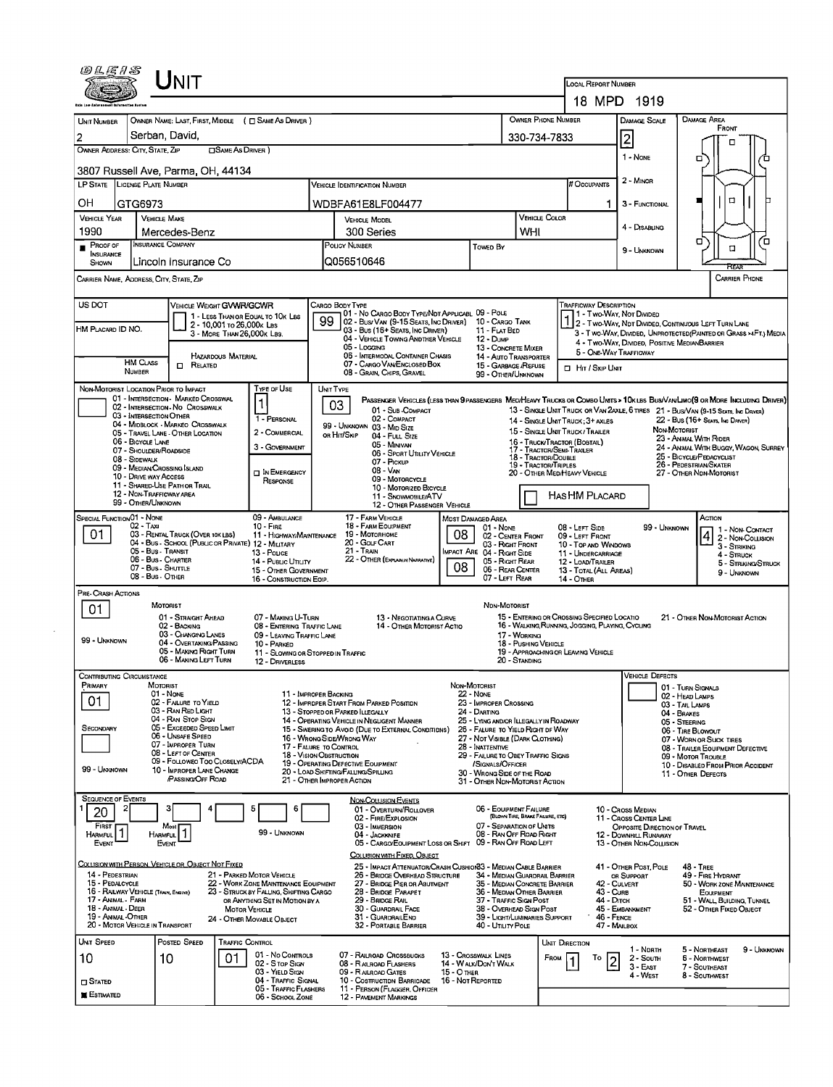| <i>©LE1S</i>                                                                                                                                                                         |                                                | <b>NIT</b>                                                            |                            |                                                                   |                                      |                                                                                                                           |                   |                                                                             |                                                    | <b>LOCAL REPORT NUMBER</b>                                                                      |                                                       |                                      |                                                                                                                             |  |  |
|--------------------------------------------------------------------------------------------------------------------------------------------------------------------------------------|------------------------------------------------|-----------------------------------------------------------------------|----------------------------|-------------------------------------------------------------------|--------------------------------------|---------------------------------------------------------------------------------------------------------------------------|-------------------|-----------------------------------------------------------------------------|----------------------------------------------------|-------------------------------------------------------------------------------------------------|-------------------------------------------------------|--------------------------------------|-----------------------------------------------------------------------------------------------------------------------------|--|--|
|                                                                                                                                                                                      |                                                |                                                                       |                            |                                                                   |                                      |                                                                                                                           |                   |                                                                             |                                                    |                                                                                                 | 18 MPD 1919                                           |                                      |                                                                                                                             |  |  |
| <b>UNIT NUMBER</b>                                                                                                                                                                   |                                                |                                                                       |                            | OWNER NAME: LAST, FIRST, MIDDLE ( C SAME AS DRIVER )              |                                      |                                                                                                                           |                   |                                                                             | OWNER PHONE NUMBER                                 |                                                                                                 | <b>DAMAGE SCALE</b>                                   |                                      | DAMAGE AREA<br>FRONT                                                                                                        |  |  |
| 2                                                                                                                                                                                    | Serban, David,                                 |                                                                       |                            |                                                                   |                                      |                                                                                                                           | 330-734-7833      |                                                                             | 2                                                  |                                                                                                 | п                                                     |                                      |                                                                                                                             |  |  |
| OWNER ADDRESS: CITY, STATE, ZIP                                                                                                                                                      |                                                |                                                                       | <b>CISAME AS DRIVER</b> )  |                                                                   |                                      |                                                                                                                           |                   |                                                                             |                                                    |                                                                                                 | 1 - NONE                                              | σ<br>π                               |                                                                                                                             |  |  |
| 3807 Russell Ave, Parma, OH, 44134                                                                                                                                                   |                                                |                                                                       |                            |                                                                   |                                      |                                                                                                                           |                   |                                                                             |                                                    |                                                                                                 |                                                       |                                      |                                                                                                                             |  |  |
| LP STATE LICENSE PLATE NUMBER                                                                                                                                                        |                                                |                                                                       |                            |                                                                   | <b>VEHICLE IDENTIFICATION NUMBER</b> |                                                                                                                           |                   |                                                                             | # Occupants                                        | 2 - MINOR                                                                                       |                                                       |                                      |                                                                                                                             |  |  |
| OH                                                                                                                                                                                   | GTG6973                                        |                                                                       |                            |                                                                   |                                      | WDBFA61E8LF004477                                                                                                         |                   |                                                                             |                                                    | 1.                                                                                              | 3 - FUNCTIONAL                                        |                                      | 0                                                                                                                           |  |  |
| <b>VEHICLE YEAR</b>                                                                                                                                                                  | <b>VEHICLE MAKE</b>                            |                                                                       |                            |                                                                   |                                      | <b>VEHICLE MODEL</b>                                                                                                      |                   |                                                                             | VEHICLE COLOR                                      |                                                                                                 | 4 - DISABLING                                         |                                      |                                                                                                                             |  |  |
| 1990<br>$P_{ROOFOF}$                                                                                                                                                                 | <b>INSURANCE COMPANY</b>                       | Mercedes-Benz                                                         |                            |                                                                   |                                      | 300 Series<br>POLICY NUMBER                                                                                               |                   |                                                                             | WHI                                                |                                                                                                 |                                                       | σ<br>ם                               |                                                                                                                             |  |  |
| <b>INSURANCE</b><br>SHOWN                                                                                                                                                            |                                                | Lincoln Insurance Co                                                  |                            |                                                                   |                                      | Q056510646                                                                                                                |                   | Towep By                                                                    |                                                    |                                                                                                 | 9 - UNKNOWN                                           |                                      | α<br>REAR                                                                                                                   |  |  |
| CARRIER NAME, ADDRESS, CITY, STATE, ZIP                                                                                                                                              |                                                |                                                                       |                            |                                                                   |                                      |                                                                                                                           |                   |                                                                             |                                                    |                                                                                                 |                                                       |                                      | CARRIER PHONE                                                                                                               |  |  |
| US DOT                                                                                                                                                                               |                                                | VEHICLE WEIGHT GVWR/GCWR                                              |                            |                                                                   |                                      | CARGO BODY TYPE                                                                                                           |                   |                                                                             |                                                    | TRAFFICWAY DESCRIPTION                                                                          |                                                       |                                      |                                                                                                                             |  |  |
| HM PLACARD ID NO.                                                                                                                                                                    |                                                |                                                                       | 2 - 10,001 то 26,000к Las  | 1 - LESS THAN OR EQUAL TO 10K LBS                                 | 99                                   | 01 - No CARGO BODY TYPE/NDT APPLICABL 09 - POLE<br>02 - Bus/ Van (9-15 Seats, Inc Driver)                                 |                   | 10 - Cargo Tank                                                             |                                                    |                                                                                                 | 1 - Two-Way, Not Divideo                              |                                      | 1 2 - Two-Way, Not Divideo, Continuous Left Turn Lane                                                                       |  |  |
|                                                                                                                                                                                      |                                                |                                                                       | 3 - MORE THAN 26,000K LBS. |                                                                   |                                      | 03 - Bus (16+ Seats, Inc Driver)<br>04 - VEHICLE TOWING ANDTHER VEHICLE                                                   |                   | 11 - FLAT BED<br>12 - Dump                                                  |                                                    |                                                                                                 | 4 - Two-Way, Divided. Positive MedianBarrier          |                                      | 3 - T WO-WAY, DIVIDED, UNPROTECTED (PAINTED OR GRASS >4FT.) MEDIA                                                           |  |  |
|                                                                                                                                                                                      | <b>HM CLASS</b>                                |                                                                       | HAZARDOUS MATERIAL         |                                                                   |                                      | 05 - Locging<br>06 - INTERMODAL CONTAINER CHASIS                                                                          |                   | 13 - CONCRETE MIXER<br>14 - AUTO TRANSPORTER                                |                                                    |                                                                                                 | 5 - ONE-WAY TRAFFICWAY                                |                                      |                                                                                                                             |  |  |
|                                                                                                                                                                                      | <b>NUMBER</b>                                  | RELATED<br>0                                                          |                            |                                                                   |                                      | 07 - CARGO VAN ENCLOSED BOX<br>08 - GRAIN, CHIPS, GRAVEL                                                                  |                   | 15 - GARBAGE / REFUSE<br>99 - OTHER/UNKNOWN                                 |                                                    | <b>I</b> HIT / SKIP UNIT                                                                        |                                                       |                                      |                                                                                                                             |  |  |
| NON-MOTORIST LOCATION PRIOR TO IMPACT                                                                                                                                                |                                                | 01 - INTERSECTION - MARKED CROSSWAL                                   |                            | Type or Use                                                       | UNIT TYPE                            |                                                                                                                           |                   |                                                                             |                                                    |                                                                                                 |                                                       |                                      | PASSENGER VEHICLES (LESS THAN 9 PASSENGERS MEDIHEAVY TRUCKS OR COMBO UNITS > 10KLBS BUSIVANLIMO(9 OR MORE INCLUDING DRIVER) |  |  |
|                                                                                                                                                                                      | 03 - INTERSECTION OTHER                        | 02 - INTERSECTION - NO CROSSWALK                                      |                            |                                                                   | 03                                   | 01 - Sub - COMPACT                                                                                                        |                   |                                                                             |                                                    |                                                                                                 |                                                       |                                      | 13 - SINGLE UNIT TRUCK OR VAN 2AXLE, 6 TIRES 21 - BUS/VAN (9-15 SEATS, INC DRIVER)                                          |  |  |
|                                                                                                                                                                                      |                                                | 04 - MIDBLOCK - MARKEO CROSSWALK<br>05 - TRAVEL LANE - OTHER LOCATION |                            | 1 - PERSONAL<br>2 - COMMERCIAL                                    |                                      | 02 - COMPACT<br>99 - UNKNOWN 03 - MID SIZE<br>OR HIT/SKIP                                                                 |                   |                                                                             |                                                    | 14 - SINGLE UNIT TRUCK ; 3+ AXLES<br>15 - SINGLE UNIT TRUCK / TRAILER                           |                                                       | NON MOTORIST                         | 22 - Bus (16+ Seats, Inc Driver)                                                                                            |  |  |
|                                                                                                                                                                                      | 06 - BICYCLE LANE<br>07 - Shoulder/Roadside    |                                                                       |                            | 3 - GOVERNMENT                                                    |                                      | 04 - FULL SIZE<br>05 - Minivan                                                                                            |                   |                                                                             |                                                    | 16 - TRUCK/TRACTOR (BOBTAIL)<br>17 - TRACTOR/SEMI-TRAILER                                       |                                                       |                                      | 23 - ANIMAL WITH RIDER<br>24 - ANIMAL WITH BUGGY, WAGON, SURREY                                                             |  |  |
|                                                                                                                                                                                      | 08 - SIDEWALK<br>09 - MEDIAN CROSSING ISLAND   |                                                                       |                            |                                                                   |                                      | 06 - SPORT UTILITY VEHICLE<br>07 - PICKUP                                                                                 |                   |                                                                             | 18 - Tractor/Double<br><b>19 - TRACTOR/TRIPLES</b> | 25 - BICYCLE/PEDACYCLIST<br>26 - PEDESTRIAN/SKATER                                              |                                                       |                                      |                                                                                                                             |  |  |
|                                                                                                                                                                                      | 10 - DRIVE WAY ACCESS                          | 11 - SHARED-USE PATH OR TRAIL                                         |                            | IN EMERGENCY<br>RESPONSE                                          |                                      | 08 - VAN<br>09 - MOTORCYCLE                                                                                               |                   | 20 - OTHER MED/HEAVY VEHICLE<br>27 - OTHER NON-MOTORIST                     |                                                    |                                                                                                 |                                                       |                                      |                                                                                                                             |  |  |
|                                                                                                                                                                                      | 12 - NON-TRAFFICWAY AREA<br>99 - OTHER/UNKNOWN |                                                                       |                            |                                                                   |                                      | 10 - MOTORIZED BICYCLE<br>11 - SNOWMOBILE/ATV<br>12 - OTHER PASSENGER VEHICLE                                             |                   |                                                                             |                                                    | HAS HM PLACARD                                                                                  |                                                       |                                      |                                                                                                                             |  |  |
| SPECIAL FUNCTION 01 - NONE                                                                                                                                                           |                                                |                                                                       |                            | 09 - AMBULANCE                                                    |                                      | 17 - FARM VEHICLE                                                                                                         |                   | MOST DAMAGED AREA                                                           |                                                    |                                                                                                 |                                                       |                                      | Астюм                                                                                                                       |  |  |
| 01                                                                                                                                                                                   | $02 - T_Ax1$                                   | 03 - RENTAL TRUCK (OVER 10K LBS)                                      |                            | $10 -$ Fire<br>11 - HIGHWAY/MAINTENANCE                           |                                      | 18 - FARM EQUIPMENT<br>19 - Мотовноме                                                                                     | 08                | $01 - None$<br>02 - CENTER FRONT                                            |                                                    | 08 - LEFT SIDE<br>09 - LEFT FRONT                                                               |                                                       | 99 - Unknown                         | 1 - NON-CONTACT<br>2 - Non-Collision                                                                                        |  |  |
|                                                                                                                                                                                      | 05 - Bus - Transit                             | 04 - Bus - SCHOOL (PUBLIC OR PRIVATE) 12 - MILITARY                   |                            | 13 - Pouce                                                        |                                      | 20 - COLF CART<br>03 - Right Front<br>21 - TRAIN<br>MPACT ARE 04 - RIGHT SIDE                                             |                   |                                                                             |                                                    | 10 - Top and Windows<br>11 - UNDERCARRIAGE                                                      |                                                       |                                      | 3 - STRIKING<br>4 - STRUCK                                                                                                  |  |  |
|                                                                                                                                                                                      | 06 - Bus - Charter<br>07 - Bus - SHUTTLE       |                                                                       |                            | 14 - Pusuc Unury<br>15 - OTHER GOVERNMENT                         |                                      | 22 - OTHER (EXPLAN IN NARRATIVE)                                                                                          | 08                | 05 - Right Rear<br>06 - REAR CENTER                                         |                                                    | 12 - LOAD/TRAILER<br>13 - TOTAL (ALL AREAS)                                                     |                                                       |                                      | 5 - STRIKING/STRUCK<br>9 - UNKNOWN                                                                                          |  |  |
| PRE- CRASH ACTIONS                                                                                                                                                                   | 08 - Bus - OTHER                               |                                                                       |                            | 16 - CONSTRUCTION EOIP.                                           |                                      |                                                                                                                           |                   | 07 - LEFT REAR                                                              |                                                    | 14 - Отнея                                                                                      |                                                       |                                      |                                                                                                                             |  |  |
| 01                                                                                                                                                                                   | <b>MOTORIST</b>                                |                                                                       |                            |                                                                   |                                      |                                                                                                                           |                   | NDN-MOTORIST                                                                |                                                    |                                                                                                 |                                                       |                                      |                                                                                                                             |  |  |
|                                                                                                                                                                                      |                                                | 01 - STRAIGHT AHEAD<br>02 - BACKING                                   |                            | 07 - MAKING U-TURN<br>08 - ENTERING TRAFFIC LANE                  |                                      | 13 - NEGOTIATING A CURVE<br>14 - OTHER MOTORIST ACTIO                                                                     |                   |                                                                             |                                                    | 15 - ENTERING OR CROSSING SPECIFIED LOCATIO<br>16 - WALKING, RUNNING, JOGGING, PLAYING, CYCLING |                                                       |                                      | 21 - OTHER NON-MOTORIST ACTION                                                                                              |  |  |
| 99 - UNKNOWN                                                                                                                                                                         |                                                | 03 - CHANGING LANES<br>04 - OVERTAKING/PASSING                        |                            | 09 - LEAVING TRAFFIC LANE<br>10 - PARKED                          |                                      |                                                                                                                           |                   |                                                                             | 17 - WORKING<br>18 - PUSHING VEHICLE               |                                                                                                 |                                                       |                                      |                                                                                                                             |  |  |
|                                                                                                                                                                                      |                                                | 05 - MAKING RIGHT TURN<br>06 - MAKING LEFT TURN                       |                            | 11 - SLOWING OR STOPPED IN TRAFFIC<br>12 - DRIVERLESS             |                                      |                                                                                                                           |                   |                                                                             | 20 - STANDING                                      | 19 - APPROACHING OR LEAVING VEHICLE                                                             |                                                       |                                      |                                                                                                                             |  |  |
| CONTRIBUTING CIRCUMSTANCE                                                                                                                                                            |                                                |                                                                       |                            |                                                                   |                                      |                                                                                                                           |                   |                                                                             |                                                    |                                                                                                 | <b>VEHICLE DEFECTS</b>                                |                                      |                                                                                                                             |  |  |
| Primary                                                                                                                                                                              | MOTORIST<br>01 - NONE                          |                                                                       |                            |                                                                   | 11 - IMPROPER BACKING                |                                                                                                                           |                   | NON-MOTORIST<br><b>22 - NONE</b>                                            |                                                    |                                                                                                 |                                                       | 01 - TURN SIGNALS<br>02 - HEAD LAMPS |                                                                                                                             |  |  |
| 01                                                                                                                                                                                   |                                                | 02 - FAILURE TO YIELD<br>03 - RAN RED LIGHT                           |                            |                                                                   |                                      | 12 - IMPROPER START FROM PARKED POSITION<br>13 - STOPPED OR PARKED LLEGALLY                                               |                   | 23 - IMPROPER CROSSING<br>24 - DARTING                                      |                                                    |                                                                                                 |                                                       | 03 - TAIL LAMPS<br>04 - BRAKES       |                                                                                                                             |  |  |
| SECONDARY                                                                                                                                                                            |                                                | 04 - RAN STOP SIGN<br>05 - Exceeded Speed LIMIT                       |                            |                                                                   |                                      | 14 - OPERATING VEHICLE IN NEGLIGENT MANNER<br>15 - Swering to Avoid (Due to External Conditions)                          |                   | 25 - LYING AND/OR ILLEGALLY IN ROADWAY<br>26 - FALURE TO YIELD RIGHT OF WAY |                                                    |                                                                                                 |                                                       | 05 - STEERING<br>06 - TIRE BLOWOUT   |                                                                                                                             |  |  |
|                                                                                                                                                                                      |                                                | 06 - Unsafe Speed<br>07 - IMPROPER TURN                               |                            |                                                                   | 17 - FALURE TO CONTROL               | 16 - WRONG SIDE/WRONG WAY                                                                                                 |                   | 27 - NOT VISIBLE (DARK CLOTHING)<br>28 - INATTENTIVE                        |                                                    |                                                                                                 |                                                       |                                      | 07 - WORN OR SUCK TIRES<br>08 - TRAILER EQUIPMENT DEFECTIVE                                                                 |  |  |
| 08 - LEFT OF CENTER<br>09 - FOLLOWEO TOO CLOSELY/ACDA                                                                                                                                |                                                |                                                                       |                            |                                                                   |                                      | 18 - VISION OBSTRUCTION<br>29 - FAILURE TO OBEY TRAFFIC SIGNS<br>19 - OPERATING DEFECTIVE EQUIPMENT<br>/SIGNALS/OFFICER   |                   |                                                                             |                                                    |                                                                                                 | 09 - MOTOR TROUBLE                                    |                                      |                                                                                                                             |  |  |
| 99 - Unknown                                                                                                                                                                         |                                                | 10 - IMPROPER LANE CHANGE<br><b>PASSING/OFF ROAD</b>                  |                            |                                                                   |                                      | 20 - LOAD SHIFTING/FALLING/SPILLING<br>21 - OTHER IMPROPER ACTION                                                         |                   | 30 - WRONG SIDE OF THE ROAD<br>31 - OTHER NON-MOTORIST ACTION               |                                                    |                                                                                                 |                                                       |                                      | 10 - DISABLED FROM PRIOR ACCIDENT<br>11 - OTHER DEFECTS                                                                     |  |  |
| <b>SEQUENCE OF EVENTS</b>                                                                                                                                                            |                                                |                                                                       |                            |                                                                   |                                      | <b>NON-COLLISION EVENTS</b>                                                                                               |                   |                                                                             |                                                    |                                                                                                 |                                                       |                                      |                                                                                                                             |  |  |
| 20                                                                                                                                                                                   |                                                | з                                                                     |                            |                                                                   |                                      | 01 - OVERTURN/ROLLOVER<br>02 - FIRE/EXPLOSION                                                                             |                   | 06 - EQUIPMENT FAILURE                                                      | (BLOWN TIRE, BRAKE FAILURE, ETC)                   |                                                                                                 | 10 - Cross Median<br>11 - Cross Center Line           |                                      |                                                                                                                             |  |  |
| FIRST<br><b>HARMFUL</b>                                                                                                                                                              | HARMFUL                                        | Most                                                                  |                            | 99 - Unknown                                                      |                                      | 03 - IMMERSION<br>04 - JACKKNIFE                                                                                          |                   | 07 - SEPARATION OF UNITS<br>08 - RAN OFF ROAD RIGHT                         |                                                    |                                                                                                 | OPPOSITE DIRECTION OF TRAVEL<br>12 - DOWNHILL RUNAWAY |                                      |                                                                                                                             |  |  |
| Event                                                                                                                                                                                | EVENT                                          |                                                                       |                            |                                                                   |                                      | 05 - CARGO/EOUIPMENT LOSS OR SHIFT 09 - RAN OFF ROAD LEFT<br>COLUSION WITH FIXED, OBJECT                                  |                   |                                                                             |                                                    |                                                                                                 | 13 - OTHER NON COLLISION                              |                                      |                                                                                                                             |  |  |
| COLLISION WITH PERSON, VEHICLE OR OBJECT NOT FIXED                                                                                                                                   |                                                |                                                                       |                            |                                                                   |                                      | 25 - IMPACT ATTENUATOR/CRASH CUSHION33 - MEDIAN CABLE BARRIER                                                             |                   |                                                                             |                                                    |                                                                                                 | 41 - OTHER POST, POLE                                 |                                      | <b>48 - TREE</b>                                                                                                            |  |  |
| 14 - PEDESTRIAN<br>15 - PEDALCYCLE                                                                                                                                                   |                                                |                                                                       |                            | 21 - PARKED MOTOR VEHICLE<br>22 - WORK ZONE MAINTENANCE EQUIPMENT |                                      | 26 - BRIDGE OVERHEAD STRUCTURE<br>27 - BRIDGE PIER OR ABUTMENT                                                            |                   | 34 - MEDIAN GUARDRAIL BARRIER<br>35 - MEDIAN CONCRETE BARRIER               |                                                    |                                                                                                 | OR SUPPORT<br>42 - CULVERT                            |                                      | 49 - FIRE HYDRANT<br>50 - WORK ZONE MAINTENANCE                                                                             |  |  |
| 16 - RAILWAY VEHICLE (TRAIN, ENGINE)<br>23 - STRUCK BY FALLING, SHIFTING CARGO<br>17 - ANIMAL - FARM<br>OR ANYTHING SET IN MOTION BY A<br>18 - Animal - Deer<br><b>MOTOR VEHICLE</b> |                                                |                                                                       |                            |                                                                   |                                      | 28 - Bridge Parapet<br>36 - MEDIAN OTHER BARRIER<br>29 - BRIDGE RAIL<br>37 - TRAFFIC SIGN POST<br>38 - OVERHEAD SIGN POST |                   |                                                                             |                                                    |                                                                                                 | 43 - CURB<br>44 - Олтсн                               |                                      | <b>EQUIPMENT</b><br>51 - WALL, BUILDING, TUNNEL                                                                             |  |  |
| 19 - ANIMAL -OTHER<br>20 - MOTOR VEHICLE IN TRANSPORT                                                                                                                                |                                                |                                                                       |                            | 24 - OTHER MOVABLE OBJECT                                         |                                      | 30 - GUARDRAIL FACE<br>31 - GUARDRALEND<br>32 - PORTABLE BARRIER                                                          |                   | 39 - LIGHT/LUMINARIES SUPPORT<br>40 - Utility Pole                          |                                                    |                                                                                                 | 45 - EMBANKMENT<br>46 - FENCE<br>47 - MAILBOX         |                                      | 52 - OTHER FIXED OBJECT                                                                                                     |  |  |
| UNIT SPEED                                                                                                                                                                           |                                                | POSTED SPEED                                                          | <b>TRAFFIC CONTROL</b>     |                                                                   |                                      |                                                                                                                           |                   |                                                                             |                                                    | Unit Direction                                                                                  |                                                       |                                      |                                                                                                                             |  |  |
| 10                                                                                                                                                                                   | 10                                             |                                                                       | 01                         | 01 - No Controls                                                  |                                      | 07 - RALROAD CROSSBUCKS                                                                                                   |                   | 13 - Crosswalk LINES                                                        |                                                    | FROM<br>То                                                                                      | 1 - North<br>2 - South<br>$\vert$ 2                   |                                      | 5 - NORTHEAST<br>9 - Unknown<br>6 - Northwest                                                                               |  |  |
|                                                                                                                                                                                      |                                                |                                                                       |                            | 02 - S TOP SIGN<br>03 - Yield Sign                                |                                      | 08 - RALROAD FLASHERS<br>09 - RALROAD GATES                                                                               | 15 - O THER       | 14 - WALK/DON'T WALK                                                        |                                                    |                                                                                                 | 3 - East<br>4 - WEST                                  |                                      | 7 - SOUTHEAST<br>8 - Southwest                                                                                              |  |  |
| $\square$ Stated<br><b>E</b> stimated                                                                                                                                                |                                                |                                                                       |                            | 04 - TRAFFIC SIGNAL<br>05 - TRAFFIC FLASHERS                      |                                      | 10 - COSTRUCTION BARRICADE<br>11 - PERSON (FLAGGER, OFFICER                                                               | 16 - Not Reported |                                                                             |                                                    |                                                                                                 |                                                       |                                      |                                                                                                                             |  |  |
|                                                                                                                                                                                      |                                                |                                                                       |                            | 06 - SCHOOL ZONE                                                  |                                      | <b>12 - PAVEMENT MARKINGS</b>                                                                                             |                   |                                                                             |                                                    |                                                                                                 |                                                       |                                      |                                                                                                                             |  |  |